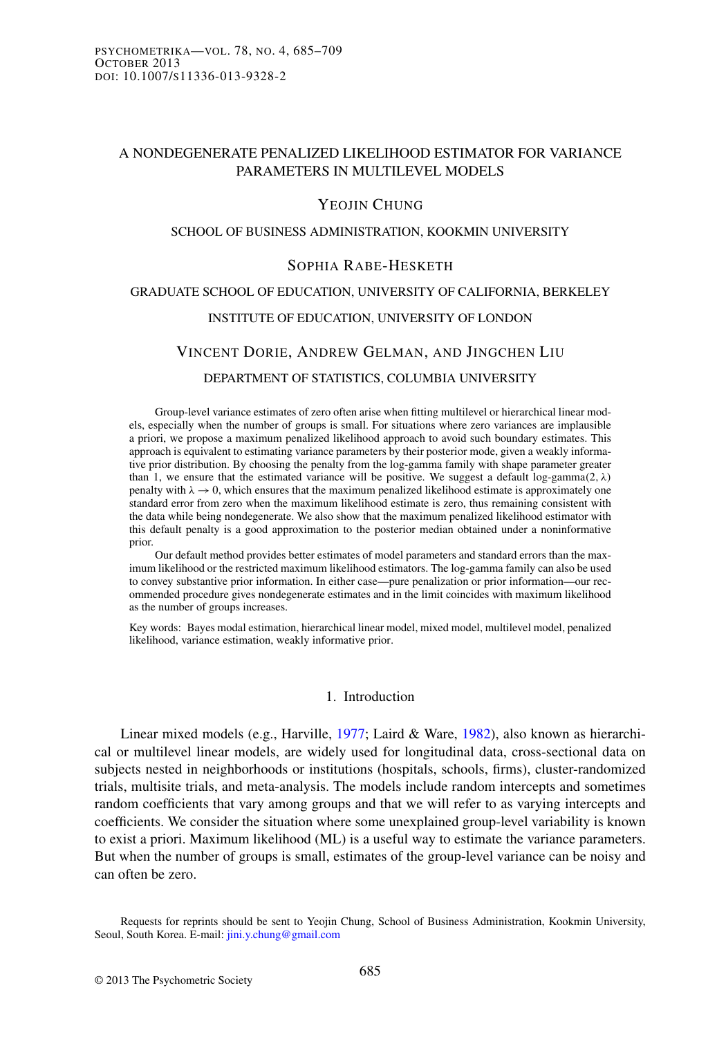# A NONDEGENERATE PENALIZED LIKELIHOOD ESTIMATOR FOR VARIANCE PARAMETERS IN MULTILEVEL MODELS

## YEOJIN CHUNG

## SCHOOL OF BUSINESS ADMINISTRATION, KOOKMIN UNIVERSITY

# SOPHIA RABE-HESKETH

### GRADUATE SCHOOL OF EDUCATION, UNIVERSITY OF CALIFORNIA, BERKELEY

## INSTITUTE OF EDUCATION, UNIVERSITY OF LONDON

### VINCENT DORIE, ANDREW GELMAN, AND JINGCHEN LIU

#### DEPARTMENT OF STATISTICS, COLUMBIA UNIVERSITY

Group-level variance estimates of zero often arise when fitting multilevel or hierarchical linear models, especially when the number of groups is small. For situations where zero variances are implausible a priori, we propose a maximum penalized likelihood approach to avoid such boundary estimates. This approach is equivalent to estimating variance parameters by their posterior mode, given a weakly informative prior distribution. By choosing the penalty from the log-gamma family with shape parameter greater than 1, we ensure that the estimated variance will be positive. We suggest a default  $log-gamma(2, \lambda)$ penalty with  $\lambda \to 0$ , which ensures that the maximum penalized likelihood estimate is approximately one standard error from zero when the maximum likelihood estimate is zero, thus remaining consistent with the data while being nondegenerate. We also show that the maximum penalized likelihood estimator with this default penalty is a good approximation to the posterior median obtained under a noninformative prior.

Our default method provides better estimates of model parameters and standard errors than the maximum likelihood or the restricted maximum likelihood estimators. The log-gamma family can also be used to convey substantive prior information. In either case—pure penalization or prior information—our recommended procedure gives nondegenerate estimates and in the limit coincides with maximum likelihood as the number of groups increases.

Key words: Bayes modal estimation, hierarchical linear model, mixed model, multilevel model, penalized likelihood, variance estimation, weakly informative prior.

### 1. Introduction

Linear mixed models (e.g., Harville, [1977](#page-23-0); Laird & Ware, [1982\)](#page-23-1), also known as hierarchical or multilevel linear models, are widely used for longitudinal data, cross-sectional data on subjects nested in neighborhoods or institutions (hospitals, schools, firms), cluster-randomized trials, multisite trials, and meta-analysis. The models include random intercepts and sometimes random coefficients that vary among groups and that we will refer to as varying intercepts and coefficients. We consider the situation where some unexplained group-level variability is known to exist a priori. Maximum likelihood (ML) is a useful way to estimate the variance parameters. But when the number of groups is small, estimates of the group-level variance can be noisy and can often be zero.

Requests for reprints should be sent to Yeojin Chung, School of Business Administration, Kookmin University, Seoul, South Korea. E-mail: [jini.y.chung@gmail.com](mailto:jini.y.chung@gmail.com)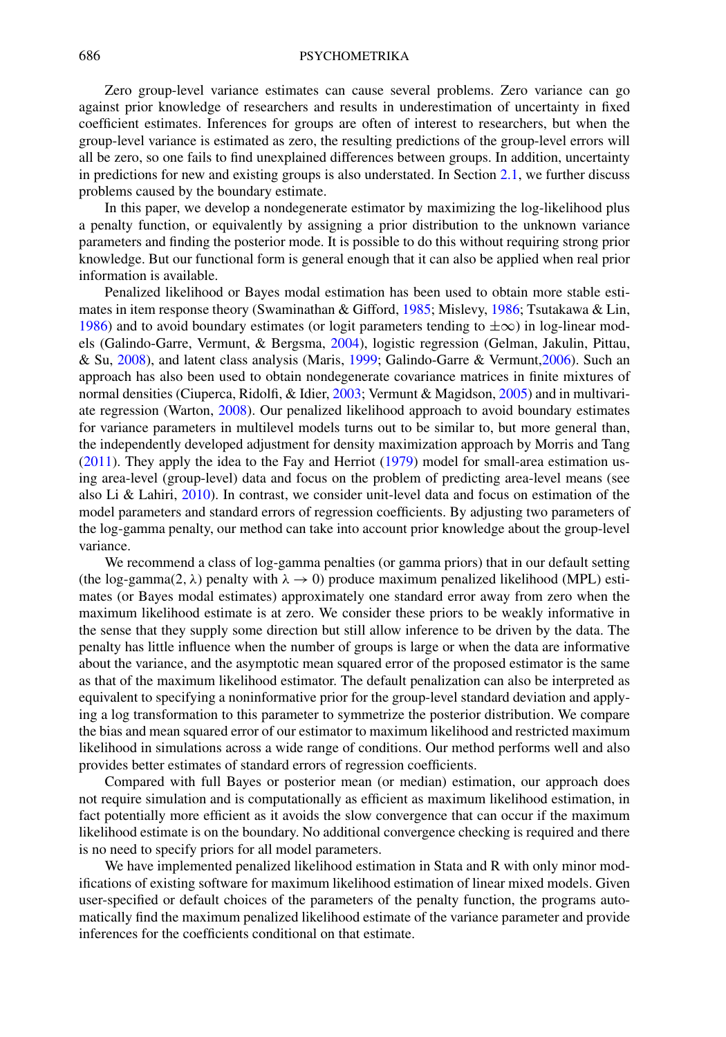Zero group-level variance estimates can cause several problems. Zero variance can go against prior knowledge of researchers and results in underestimation of uncertainty in fixed coefficient estimates. Inferences for groups are often of interest to researchers, but when the group-level variance is estimated as zero, the resulting predictions of the group-level errors will all be zero, so one fails to find unexplained differences between groups. In addition, uncertainty in predictions for new and existing groups is also understated. In Section [2.1,](#page-2-0) we further discuss problems caused by the boundary estimate.

In this paper, we develop a nondegenerate estimator by maximizing the log-likelihood plus a penalty function, or equivalently by assigning a prior distribution to the unknown variance parameters and finding the posterior mode. It is possible to do this without requiring strong prior knowledge. But our functional form is general enough that it can also be applied when real prior information is available.

Penalized likelihood or Bayes modal estimation has been used to obtain more stable estimates in item response theory (Swaminathan & Gifford, [1985](#page-24-0); Mislevy, [1986;](#page-24-1) Tsutakawa & Lin, [1986\)](#page-24-2) and to avoid boundary estimates (or logit parameters tending to  $\pm \infty$ ) in log-linear models (Galindo-Garre, Vermunt, & Bergsma, [2004\)](#page-23-2), logistic regression (Gelman, Jakulin, Pittau, & Su, [2008](#page-23-3)), and latent class analysis (Maris, [1999](#page-23-4); Galindo-Garre & Vermunt[,2006](#page-23-5)). Such an approach has also been used to obtain nondegenerate covariance matrices in finite mixtures of normal densities (Ciuperca, Ridolfi, & Idier, [2003;](#page-23-6) Vermunt & Magidson, [2005](#page-24-3)) and in multivariate regression (Warton, [2008\)](#page-24-4). Our penalized likelihood approach to avoid boundary estimates for variance parameters in multilevel models turns out to be similar to, but more general than, the independently developed adjustment for density maximization approach by Morris and Tang [\(2011](#page-24-5)). They apply the idea to the Fay and Herriot [\(1979\)](#page-23-7) model for small-area estimation using area-level (group-level) data and focus on the problem of predicting area-level means (see also Li & Lahiri, [2010](#page-23-8)). In contrast, we consider unit-level data and focus on estimation of the model parameters and standard errors of regression coefficients. By adjusting two parameters of the log-gamma penalty, our method can take into account prior knowledge about the group-level variance.

We recommend a class of log-gamma penalties (or gamma priors) that in our default setting (the log-gamma(2,  $\lambda$ ) penalty with  $\lambda \to 0$ ) produce maximum penalized likelihood (MPL) estimates (or Bayes modal estimates) approximately one standard error away from zero when the maximum likelihood estimate is at zero. We consider these priors to be weakly informative in the sense that they supply some direction but still allow inference to be driven by the data. The penalty has little influence when the number of groups is large or when the data are informative about the variance, and the asymptotic mean squared error of the proposed estimator is the same as that of the maximum likelihood estimator. The default penalization can also be interpreted as equivalent to specifying a noninformative prior for the group-level standard deviation and applying a log transformation to this parameter to symmetrize the posterior distribution. We compare the bias and mean squared error of our estimator to maximum likelihood and restricted maximum likelihood in simulations across a wide range of conditions. Our method performs well and also provides better estimates of standard errors of regression coefficients.

Compared with full Bayes or posterior mean (or median) estimation, our approach does not require simulation and is computationally as efficient as maximum likelihood estimation, in fact potentially more efficient as it avoids the slow convergence that can occur if the maximum likelihood estimate is on the boundary. No additional convergence checking is required and there is no need to specify priors for all model parameters.

We have implemented penalized likelihood estimation in Stata and R with only minor modifications of existing software for maximum likelihood estimation of linear mixed models. Given user-specified or default choices of the parameters of the penalty function, the programs automatically find the maximum penalized likelihood estimate of the variance parameter and provide inferences for the coefficients conditional on that estimate.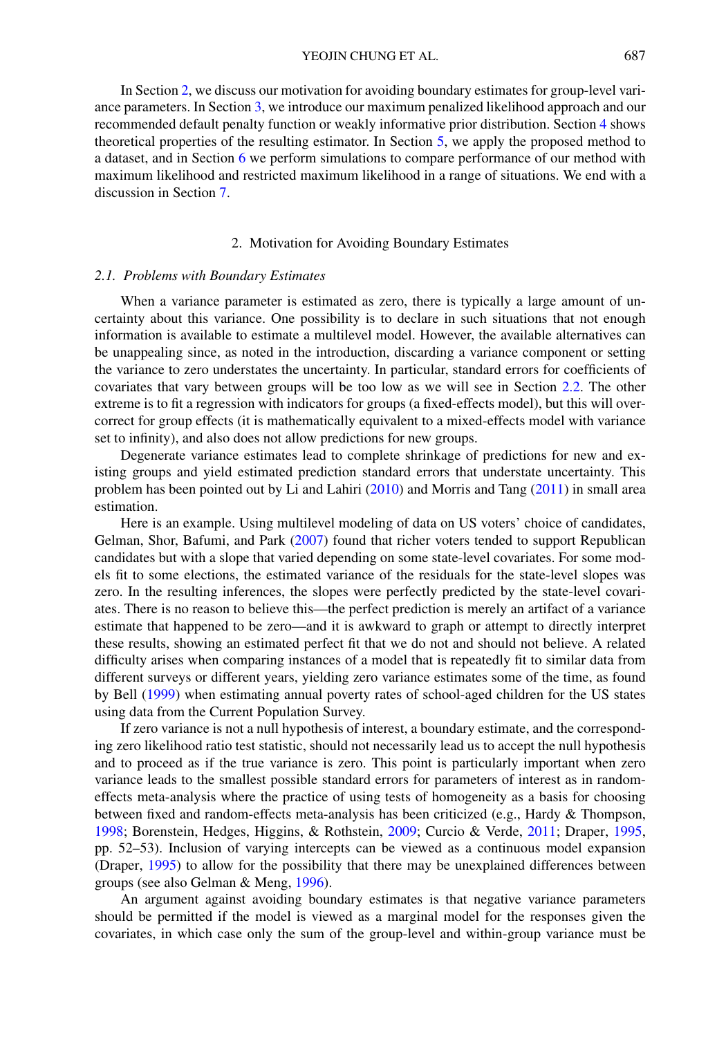<span id="page-2-1"></span><span id="page-2-0"></span>In Section [2,](#page-2-1) we discuss our motivation for avoiding boundary estimates for group-level variance parameters. In Section [3,](#page-5-0) we introduce our maximum penalized likelihood approach and our recommended default penalty function or weakly informative prior distribution. Section [4](#page-7-0) shows theoretical properties of the resulting estimator. In Section [5](#page-12-0), we apply the proposed method to a dataset, and in Section [6](#page-13-0) we perform simulations to compare performance of our method with maximum likelihood and restricted maximum likelihood in a range of situations. We end with a discussion in Section [7](#page-18-0).

#### 2. Motivation for Avoiding Boundary Estimates

#### *2.1. Problems with Boundary Estimates*

When a variance parameter is estimated as zero, there is typically a large amount of uncertainty about this variance. One possibility is to declare in such situations that not enough information is available to estimate a multilevel model. However, the available alternatives can be unappealing since, as noted in the introduction, discarding a variance component or setting the variance to zero understates the uncertainty. In particular, standard errors for coefficients of covariates that vary between groups will be too low as we will see in Section [2.2.](#page-3-0) The other extreme is to fit a regression with indicators for groups (a fixed-effects model), but this will overcorrect for group effects (it is mathematically equivalent to a mixed-effects model with variance set to infinity), and also does not allow predictions for new groups.

Degenerate variance estimates lead to complete shrinkage of predictions for new and existing groups and yield estimated prediction standard errors that understate uncertainty. This problem has been pointed out by Li and Lahiri [\(2010\)](#page-23-8) and Morris and Tang ([2011\)](#page-24-5) in small area estimation.

Here is an example. Using multilevel modeling of data on US voters' choice of candidates, Gelman, Shor, Bafumi, and Park ([2007\)](#page-23-9) found that richer voters tended to support Republican candidates but with a slope that varied depending on some state-level covariates. For some models fit to some elections, the estimated variance of the residuals for the state-level slopes was zero. In the resulting inferences, the slopes were perfectly predicted by the state-level covariates. There is no reason to believe this—the perfect prediction is merely an artifact of a variance estimate that happened to be zero—and it is awkward to graph or attempt to directly interpret these results, showing an estimated perfect fit that we do not and should not believe. A related difficulty arises when comparing instances of a model that is repeatedly fit to similar data from different surveys or different years, yielding zero variance estimates some of the time, as found by Bell ([1999\)](#page-23-10) when estimating annual poverty rates of school-aged children for the US states using data from the Current Population Survey.

If zero variance is not a null hypothesis of interest, a boundary estimate, and the corresponding zero likelihood ratio test statistic, should not necessarily lead us to accept the null hypothesis and to proceed as if the true variance is zero. This point is particularly important when zero variance leads to the smallest possible standard errors for parameters of interest as in randomeffects meta-analysis where the practice of using tests of homogeneity as a basis for choosing between fixed and random-effects meta-analysis has been criticized (e.g., Hardy & Thompson, [1998;](#page-23-11) Borenstein, Hedges, Higgins, & Rothstein, [2009](#page-23-12); Curcio & Verde, [2011](#page-23-13); Draper, [1995,](#page-23-14) pp. 52–53). Inclusion of varying intercepts can be viewed as a continuous model expansion (Draper, [1995\)](#page-23-14) to allow for the possibility that there may be unexplained differences between groups (see also Gelman & Meng, [1996\)](#page-23-15).

An argument against avoiding boundary estimates is that negative variance parameters should be permitted if the model is viewed as a marginal model for the responses given the covariates, in which case only the sum of the group-level and within-group variance must be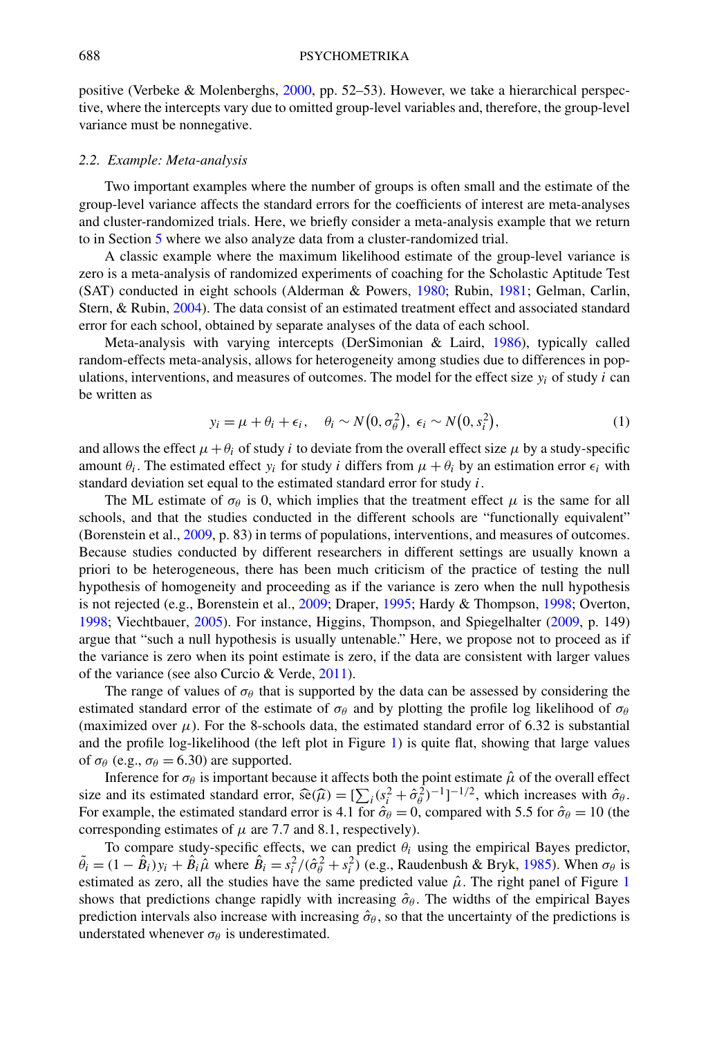<span id="page-3-0"></span>positive (Verbeke & Molenberghs, [2000](#page-24-6), pp. 52–53). However, we take a hierarchical perspective, where the intercepts vary due to omitted group-level variables and, therefore, the group-level variance must be nonnegative.

#### *2.2. Example: Meta-analysis*

Two important examples where the number of groups is often small and the estimate of the group-level variance affects the standard errors for the coefficients of interest are meta-analyses and cluster-randomized trials. Here, we briefly consider a meta-analysis example that we return to in Section [5](#page-12-0) where we also analyze data from a cluster-randomized trial.

<span id="page-3-1"></span>A classic example where the maximum likelihood estimate of the group-level variance is zero is a meta-analysis of randomized experiments of coaching for the Scholastic Aptitude Test (SAT) conducted in eight schools (Alderman & Powers, [1980](#page-23-16); Rubin, [1981;](#page-24-7) Gelman, Carlin, Stern, & Rubin, [2004](#page-23-17)). The data consist of an estimated treatment effect and associated standard error for each school, obtained by separate analyses of the data of each school.

Meta-analysis with varying intercepts (DerSimonian & Laird, [1986\)](#page-23-18), typically called random-effects meta-analysis, allows for heterogeneity among studies due to differences in populations, interventions, and measures of outcomes. The model for the effect size *yi* of study *i* can be written as

$$
y_i = \mu + \theta_i + \epsilon_i, \quad \theta_i \sim N\big(0, \sigma_\theta^2\big), \ \epsilon_i \sim N\big(0, s_i^2\big), \tag{1}
$$

and allows the effect  $\mu + \theta_i$  of study *i* to deviate from the overall effect size  $\mu$  by a study-specific amount  $\theta_i$ . The estimated effect  $y_i$  for study *i* differs from  $\mu + \theta_i$  by an estimation error  $\epsilon_i$  with standard deviation set equal to the estimated standard error for study *i*.

The ML estimate of  $\sigma_{\theta}$  is 0, which implies that the treatment effect  $\mu$  is the same for all schools, and that the studies conducted in the different schools are "functionally equivalent" (Borenstein et al., [2009](#page-23-12), p. 83) in terms of populations, interventions, and measures of outcomes. Because studies conducted by different researchers in different settings are usually known a priori to be heterogeneous, there has been much criticism of the practice of testing the null hypothesis of homogeneity and proceeding as if the variance is zero when the null hypothesis is not rejected (e.g., Borenstein et al., [2009](#page-23-12); Draper, [1995;](#page-23-14) Hardy & Thompson, [1998;](#page-23-11) Overton, [1998;](#page-24-8) Viechtbauer, [2005\)](#page-24-9). For instance, Higgins, Thompson, and Spiegelhalter [\(2009](#page-23-19), p. 149) argue that "such a null hypothesis is usually untenable." Here, we propose not to proceed as if the variance is zero when its point estimate is zero, if the data are consistent with larger values of the variance (see also Curcio & Verde, [2011](#page-23-13)).

The range of values of  $\sigma_{\theta}$  that is supported by the data can be assessed by considering the estimated standard error of the estimate of  $\sigma_{\theta}$  and by plotting the profile log likelihood of  $\sigma_{\theta}$ (maximized over  $\mu$ ). For the 8-schools data, the estimated standard error of 6.32 is substantial and the profile log-likelihood (the left plot in Figure [1](#page-4-0)) is quite flat, showing that large values of  $\sigma_{\theta}$  (e.g.,  $\sigma_{\theta} = 6.30$ ) are supported.

Inference for  $\sigma_{\theta}$  is important because it affects both the point estimate  $\hat{\mu}$  of the overall effect size and its estimated standard error,  $\hat{\mathbf{se}}(\hat{\mu}) = [\sum_i (s_i^2 + \hat{\sigma}_{\hat{\theta}}^2)^{-1}]^{-1/2}$ , which increases with  $\hat{\sigma}_{\theta}$ .<br>For example, the estimated standard error is 4.1 for  $\hat{\sigma}_{\theta} = 0$ , compared with 5.5 for  $\hat{\sigma}_{\theta} =$ For example, the estimated standard error is 4.1 for  $\hat{\sigma}_{\theta} = 0$ , compared with 5.5 for  $\hat{\sigma}_{\theta} = 10$  (the corresponding estimates of  $\mu$  are 7.7 and 8.1, respectively).

To compare study-specific effects, we can predict  $\theta_i$  using the empirical Bayes predictor,  $\tilde{\theta}_i = (1 - \hat{B}_i)y_i + \hat{B}_i\hat{\mu}$  where  $\hat{B}_i = s_i^2/(\hat{\sigma}_\theta^2 + s_i^2)$  (e.g., Raudenbush & Bryk, [1985](#page-24-10)). When  $\sigma_\theta$  is estimated as zero, all the studies have the same predicted value  $\hat{\mu}$ . The right panel of Figure [1](#page-4-0) shows that predictions change rapidly with increasing  $\hat{\sigma}_{\theta}$ . The widths of the empirical Bayes prediction intervals also increase with increasing  $\hat{\sigma}_{\theta}$ , so that the uncertainty of the predictions is understated whenever  $\sigma_{\theta}$  is underestimated.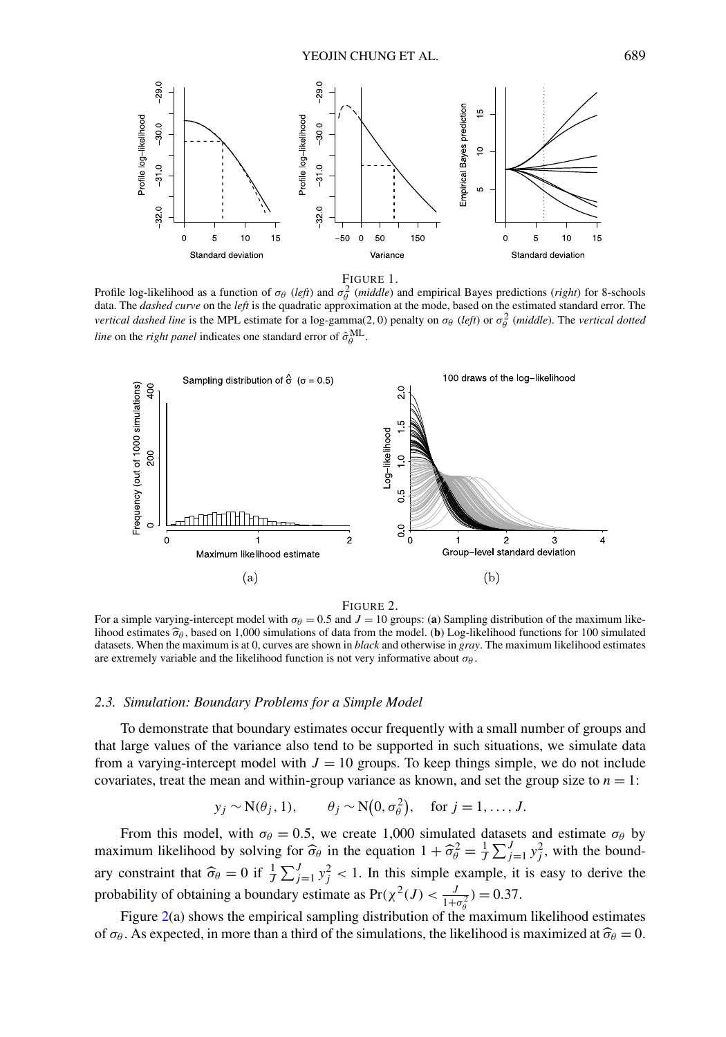

FIGURE 1.

<span id="page-4-0"></span>Profile log-likelihood as a function of  $\sigma_{\theta}$  (*left*) and  $\sigma_{\theta}^2$  (*middle*) and empirical Bayes predictions (*right*) for 8-schools data. The *dashed curve* on the *left* is the quadratic approximation at the mode, based on the estimated standard error. The *vertical dashed line* is the MPL estimate for a log-gamma(2, 0) penalty on  $\sigma_{\theta}$  (*left*) or  $\sigma_{\theta}^2$  (*middle*). The *vertical dotted line* on the *right panel* indicates one standard error of  $\hat{\sigma}_{\theta}^{\text{ML}}$ .



FIGURE 2.

<span id="page-4-1"></span>For a simple varying-intercept model with  $\sigma_{\theta} = 0.5$  and  $J = 10$  groups: (a) Sampling distribution of the maximum likelihood estimates  $\hat{\sigma}_{\theta}$ , based on 1,000 simulations of data from the model. (**b**) Log-likelihood functions for 100 simulated datasets. When the maximum is at 0, curves are shown in *black* and otherwise in *gray*. The maximum likelihood estimates are extremely variable and the likelihood function is not very informative about  $\sigma_{\theta}$ .

### *2.3. Simulation: Boundary Problems for a Simple Model*

To demonstrate that boundary estimates occur frequently with a small number of groups and that large values of the variance also tend to be supported in such situations, we simulate data from a varying-intercept model with  $J = 10$  groups. To keep things simple, we do not include covariates, treat the mean and within-group variance as known, and set the group size to  $n = 1$ :

$$
y_j \sim N(\theta_j, 1), \qquad \theta_j \sim N(0, \sigma_\theta^2), \quad \text{for } j = 1, ..., J.
$$

From this model, with  $\sigma_{\theta} = 0.5$ , we create 1,000 simulated datasets and estimate  $\sigma_{\theta}$  by maximum likelihood by solving for  $\hat{\sigma}_{\theta}$  in the equation  $1 + \hat{\sigma}_{\theta}^2 = \frac{1}{J} \sum_{j=1}^{J} y_j^2$ , with the boundary constraint that  $\hat{\sigma}_{\theta} = 0$  if  $\frac{1}{J} \sum_{j=1}^{J} y_j^2 < 1$ . In this simple example, it is easy to derive the probability of obtaining a boundary estimate as  $Pr(\chi^2(J) < \frac{J}{1+\sigma_0^2}) = 0.37$ .

*Pigure [2](#page-4-1)(a)* shows the empirical sampling distribution of the maximum likelihood estimates of  $\sigma_{\theta}$ . As expected, in more than a third of the simulations, the likelihood is maximized at  $\hat{\sigma}_{\theta} = 0$ .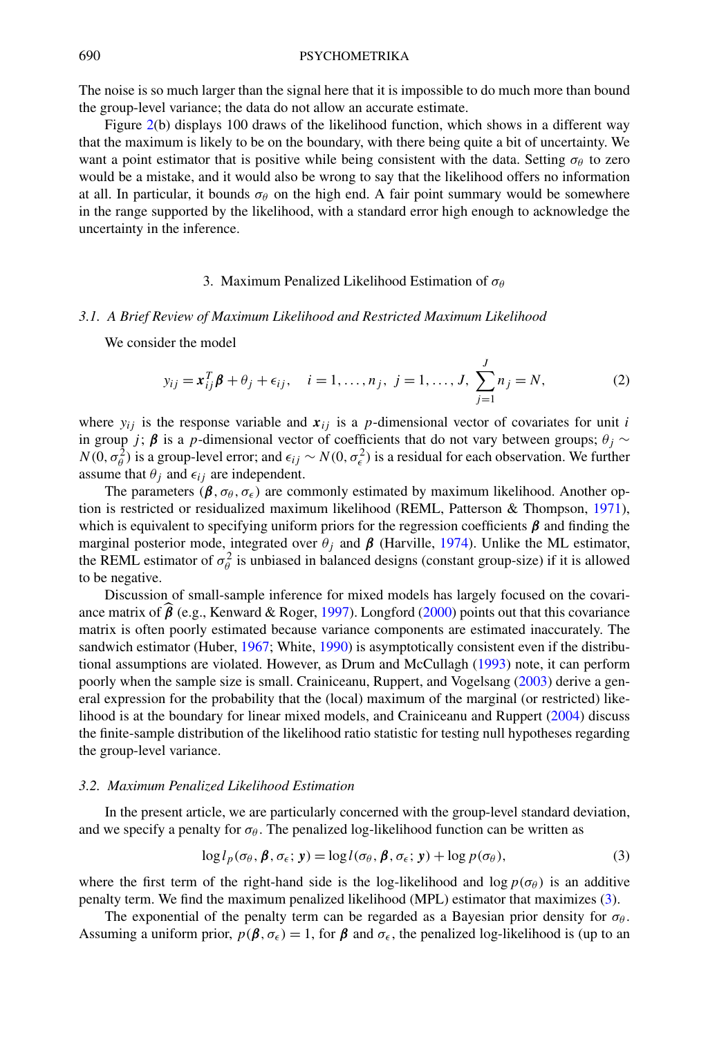The noise is so much larger than the signal here that it is impossible to do much more than bound the group-level variance; the data do not allow an accurate estimate.

<span id="page-5-0"></span>Figure [2\(](#page-4-1)b) displays 100 draws of the likelihood function, which shows in a different way that the maximum is likely to be on the boundary, with there being quite a bit of uncertainty. We want a point estimator that is positive while being consistent with the data. Setting  $\sigma_{\theta}$  to zero would be a mistake, and it would also be wrong to say that the likelihood offers no information at all. In particular, it bounds  $\sigma_{\theta}$  on the high end. A fair point summary would be somewhere in the range supported by the likelihood, with a standard error high enough to acknowledge the uncertainty in the inference.

### 3. Maximum Penalized Likelihood Estimation of *σθ*

#### <span id="page-5-2"></span>*3.1. A Brief Review of Maximum Likelihood and Restricted Maximum Likelihood*

We consider the model

$$
y_{ij} = \mathbf{x}_{ij}^T \boldsymbol{\beta} + \theta_j + \epsilon_{ij}, \quad i = 1, ..., n_j, \ j = 1, ..., J, \ \sum_{j=1}^J n_j = N,
$$
 (2)

where  $y_{ij}$  is the response variable and  $x_{ij}$  is a *p*-dimensional vector of covariates for unit *i* in group *j*;  $\beta$  is a *p*-dimensional vector of coefficients that do not vary between groups;  $\theta$ <sub>i</sub> ∼  $N(0, \sigma_{\theta}^2)$  is a group-level error; and  $\epsilon_{ij} \sim N(0, \sigma_{\epsilon}^2)$  is a residual for each observation. We further assume that  $\theta_j$  and  $\epsilon_{ij}$  are independent.

The parameters  $(\beta, \sigma_{\theta}, \sigma_{\epsilon})$  are commonly estimated by maximum likelihood. Another option is restricted or residualized maximum likelihood (REML, Patterson & Thompson, [1971\)](#page-24-11), which is equivalent to specifying uniform priors for the regression coefficients  $\beta$  and finding the marginal posterior mode, integrated over  $\theta_j$  and  $\beta$  (Harville, [1974](#page-23-20)). Unlike the ML estimator, the REML estimator of  $\sigma_{\theta}^2$  is unbiased in balanced designs (constant group-size) if it is allowed to be negative.

<span id="page-5-3"></span>Discussion of small-sample inference for mixed models has largely focused on the covariance matrix of *<sup>β</sup>* (e.g., Kenward & Roger, [1997](#page-23-21)). Longford ([2000\)](#page-23-22) points out that this covariance matrix is often poorly estimated because variance components are estimated inaccurately. The sandwich estimator (Huber, [1967](#page-23-23); White, [1990\)](#page-24-12) is asymptotically consistent even if the distributional assumptions are violated. However, as Drum and McCullagh [\(1993](#page-23-24)) note, it can perform poorly when the sample size is small. Crainiceanu, Ruppert, and Vogelsang [\(2003](#page-23-25)) derive a general expression for the probability that the (local) maximum of the marginal (or restricted) likelihood is at the boundary for linear mixed models, and Crainiceanu and Ruppert ([2004](#page-23-26)) discuss the finite-sample distribution of the likelihood ratio statistic for testing null hypotheses regarding the group-level variance.

### *3.2. Maximum Penalized Likelihood Estimation*

In the present article, we are particularly concerned with the group-level standard deviation, and we specify a penalty for  $\sigma_{\theta}$ . The penalized log-likelihood function can be written as

<span id="page-5-1"></span>
$$
\log l_p(\sigma_\theta, \beta, \sigma_\epsilon; y) = \log l(\sigma_\theta, \beta, \sigma_\epsilon; y) + \log p(\sigma_\theta),
$$
\n(3)

where the first term of the right-hand side is the log-likelihood and log  $p(\sigma_\theta)$  is an additive penalty term. We find the maximum penalized likelihood (MPL) estimator that maximizes [\(3\)](#page-5-1).

The exponential of the penalty term can be regarded as a Bayesian prior density for  $\sigma_{\theta}$ . Assuming a uniform prior,  $p(\beta, \sigma_{\epsilon}) = 1$ , for  $\beta$  and  $\sigma_{\epsilon}$ , the penalized log-likelihood is (up to an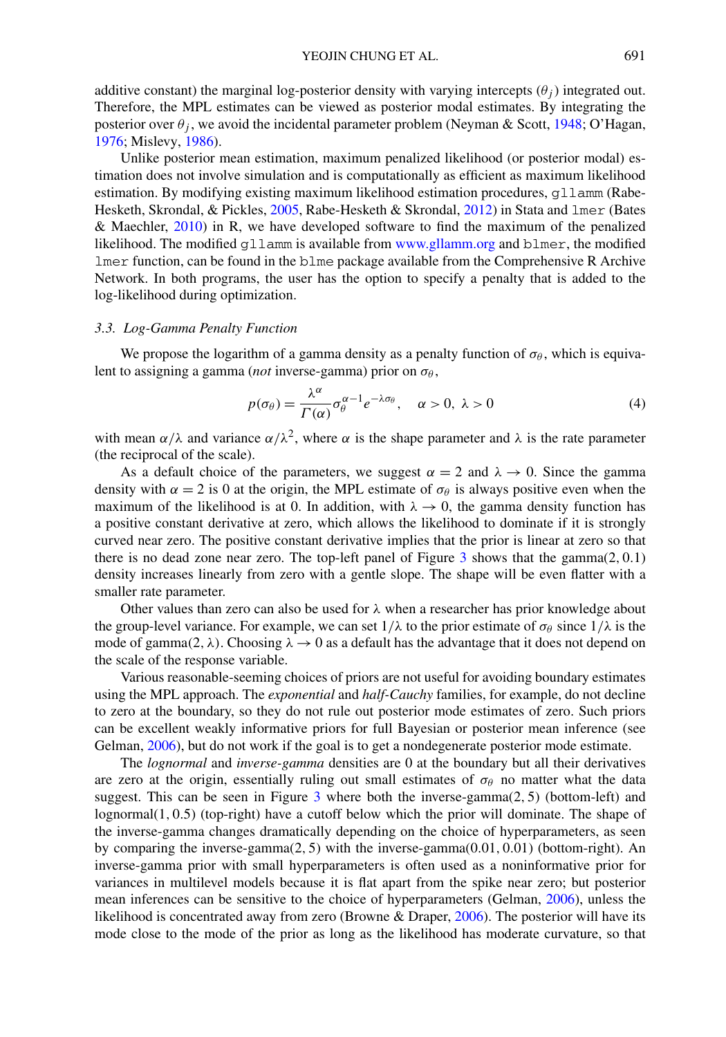additive constant) the marginal log-posterior density with varying intercepts  $(\theta_i)$  integrated out. Therefore, the MPL estimates can be viewed as posterior modal estimates. By integrating the posterior over *θj* , we avoid the incidental parameter problem (Neyman & Scott, [1948](#page-24-13); O'Hagan, [1976;](#page-24-14) Mislevy, [1986](#page-24-1)).

Unlike posterior mean estimation, maximum penalized likelihood (or posterior modal) estimation does not involve simulation and is computationally as efficient as maximum likelihood estimation. By modifying existing maximum likelihood estimation procedures,  $g11$  amm (Rabe-Hesketh, Skrondal, & Pickles, [2005,](#page-24-15) Rabe-Hesketh & Skrondal, [2012\)](#page-24-16) in Stata and lmer (Bates & Maechler, [2010\)](#page-23-27) in R, we have developed software to find the maximum of the penalized likelihood. The modified gllamm is available from [www.gllamm.org](http://www.gllamm.org) and  $blmer$ , the modified lmer function, can be found in the blme package available from the Comprehensive R Archive Network. In both programs, the user has the option to specify a penalty that is added to the log-likelihood during optimization.

#### *3.3. Log-Gamma Penalty Function*

We propose the logarithm of a gamma density as a penalty function of  $\sigma_{\theta}$ , which is equivalent to assigning a gamma (*not* inverse-gamma) prior on  $σθ$ ,

$$
p(\sigma_{\theta}) = \frac{\lambda^{\alpha}}{\Gamma(\alpha)} \sigma_{\theta}^{\alpha - 1} e^{-\lambda \sigma_{\theta}}, \quad \alpha > 0, \ \lambda > 0
$$
 (4)

with mean  $\alpha/\lambda$  and variance  $\alpha/\lambda^2$ , where  $\alpha$  is the shape parameter and  $\lambda$  is the rate parameter (the reciprocal of the scale).

As a default choice of the parameters, we suggest  $\alpha = 2$  and  $\lambda \rightarrow 0$ . Since the gamma density with  $\alpha = 2$  is 0 at the origin, the MPL estimate of  $\sigma_{\theta}$  is always positive even when the maximum of the likelihood is at 0. In addition, with  $\lambda \to 0$ , the gamma density function has a positive constant derivative at zero, which allows the likelihood to dominate if it is strongly curved near zero. The positive constant derivative implies that the prior is linear at zero so that there is no dead zone near zero. The top-left panel of Figure [3](#page-7-1) shows that the gamma(2*,* 0*.*1) density increases linearly from zero with a gentle slope. The shape will be even flatter with a smaller rate parameter.

Other values than zero can also be used for  $\lambda$  when a researcher has prior knowledge about the group-level variance. For example, we can set  $1/\lambda$  to the prior estimate of  $\sigma_\theta$  since  $1/\lambda$  is the mode of gamma $(2, \lambda)$ . Choosing  $\lambda \rightarrow 0$  as a default has the advantage that it does not depend on the scale of the response variable.

Various reasonable-seeming choices of priors are not useful for avoiding boundary estimates using the MPL approach. The *exponential* and *half-Cauchy* families, for example, do not decline to zero at the boundary, so they do not rule out posterior mode estimates of zero. Such priors can be excellent weakly informative priors for full Bayesian or posterior mean inference (see Gelman, [2006](#page-23-28)), but do not work if the goal is to get a nondegenerate posterior mode estimate.

The *lognormal* and *inverse-gamma* densities are 0 at the boundary but all their derivatives are zero at the origin, essentially ruling out small estimates of  $\sigma_{\theta}$  no matter what the data suggest. This can be seen in Figure [3](#page-7-1) where both the inverse-gamma(2*,* 5) (bottom-left) and lognormal(1*,* 0*.*5) (top-right) have a cutoff below which the prior will dominate. The shape of the inverse-gamma changes dramatically depending on the choice of hyperparameters, as seen by comparing the inverse-gamma(2*,* 5) with the inverse-gamma(0*.*01*,* 0*.*01) (bottom-right). An inverse-gamma prior with small hyperparameters is often used as a noninformative prior for variances in multilevel models because it is flat apart from the spike near zero; but posterior mean inferences can be sensitive to the choice of hyperparameters (Gelman, [2006](#page-23-28)), unless the likelihood is concentrated away from zero (Browne & Draper, [2006\)](#page-23-29). The posterior will have its mode close to the mode of the prior as long as the likelihood has moderate curvature, so that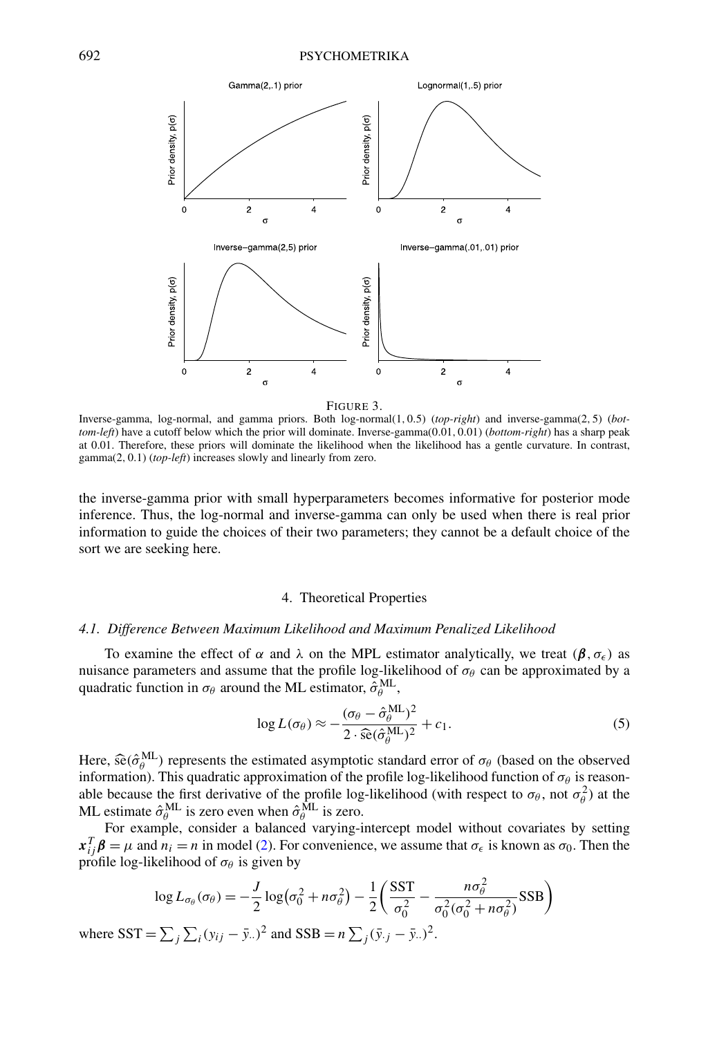

FIGURE 3.

<span id="page-7-1"></span>Inverse-gamma, log-normal, and gamma priors. Both log-normal(1*,* 0*.*5) (*top-right*) and inverse-gamma(2*,* 5) (*bottom-left*) have a cutoff below which the prior will dominate. Inverse-gamma(0*.*01*,* 0*.*01) (*bottom-right*) has a sharp peak at 0.01. Therefore, these priors will dominate the likelihood when the likelihood has a gentle curvature. In contrast, gamma(2*,* 0*.*1) (*top-left*) increases slowly and linearly from zero.

<span id="page-7-3"></span><span id="page-7-0"></span>the inverse-gamma prior with small hyperparameters becomes informative for posterior mode inference. Thus, the log-normal and inverse-gamma can only be used when there is real prior information to guide the choices of their two parameters; they cannot be a default choice of the sort we are seeking here.

### 4. Theoretical Properties

### <span id="page-7-2"></span>*4.1. Difference Between Maximum Likelihood and Maximum Penalized Likelihood*

To examine the effect of  $\alpha$  and  $\lambda$  on the MPL estimator analytically, we treat  $(\beta, \sigma_{\epsilon})$  as nuisance parameters and assume that the profile log-likelihood of  $\sigma_\theta$  can be approximated by a quadratic function in  $\sigma_{\theta}$  around the ML estimator,  $\hat{\sigma}_{\theta}^{\text{ML}}$ ,

$$
\log L(\sigma_{\theta}) \approx -\frac{(\sigma_{\theta} - \hat{\sigma}_{\theta}^{\text{ML}})^2}{2 \cdot \widehat{\text{se}}(\hat{\sigma}_{\theta}^{\text{ML}})^2} + c_1.
$$
 (5)

Here,  $\widehat{se}(\hat{\sigma}_{\theta}^{\text{ML}})$  represents the estimated asymptotic standard error of *σ*<sub>θ</sub> (based on the observed information). This quadratic approximation of the profile log-likelihood function of *σ*<sub>θ</sub> is reasoninformation). This quadratic approximation of the profile log-likelihood function of  $\sigma_{\theta}$  is reasonable because the first derivative of the profile log-likelihood (with respect to  $\sigma_{\theta}$ , not  $\sigma_{\theta}^2$ ) at the ML estimate  $\hat{\sigma}_{\theta}^{\text{ML}}$  is zero even when  $\hat{\sigma}_{\theta}^{\text{ML}}$  is zero.

For example, consider a balanced varying-intercept model without covariates by setting  $x_{ij}^T \beta = \mu$  and  $n_i = n$  in model ([2\)](#page-5-2). For convenience, we assume that  $\sigma_\epsilon$  is known as  $\sigma_0$ . Then the profile log-likelihood of  $\sigma_{\theta}$  is given by

$$
\log L_{\sigma_\theta}(\sigma_\theta) = -\frac{J}{2}\log\left(\sigma_0^2 + n\sigma_\theta^2\right) - \frac{1}{2}\left(\frac{\text{SST}}{\sigma_0^2} - \frac{n\sigma_\theta^2}{\sigma_0^2(\sigma_0^2 + n\sigma_\theta^2)}\text{SSB}\right)
$$

where SST =  $\sum_j \sum_i (y_{ij} - \bar{y}_{..})^2$  and SSB =  $n \sum_j (\bar{y}_{.j} - \bar{y}_{..})^2$ .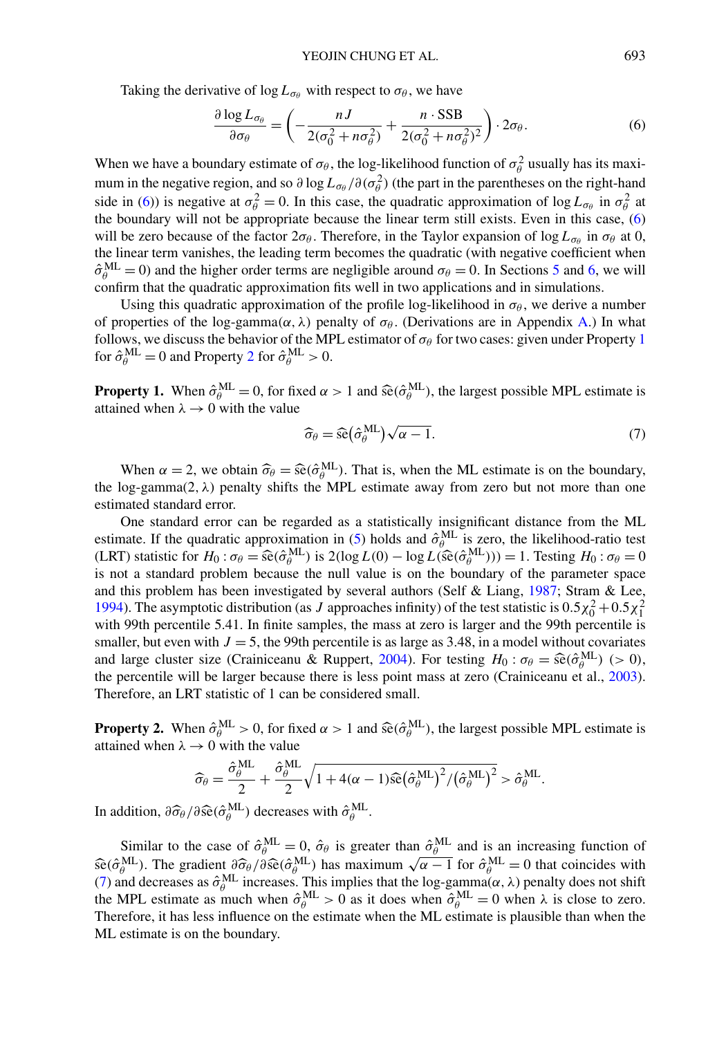<span id="page-8-0"></span>Taking the derivative of  $\log L_{\sigma_\theta}$  with respect to  $\sigma_\theta$ , we have

$$
\frac{\partial \log L_{\sigma_{\theta}}}{\partial \sigma_{\theta}} = \left( -\frac{nJ}{2(\sigma_0^2 + n\sigma_{\theta}^2)} + \frac{n \cdot \text{SSB}}{2(\sigma_0^2 + n\sigma_{\theta}^2)^2} \right) \cdot 2\sigma_{\theta}.
$$
 (6)

When we have a boundary estimate of  $\sigma_{\theta}$ , the log-likelihood function of  $\sigma_{\theta}^2$  usually has its maximum in the negative region, and so  $\partial \log L_{\sigma\theta}/\partial(\sigma_\theta^2)$  (the part in the parentheses on the right-hand side in [\(6](#page-8-0))) is negative at  $\sigma_{\theta}^2 = 0$ . In this case, the quadratic approximation of log  $L_{\sigma_{\theta}}$  in  $\sigma_{\theta}^2$  at the boundary will not be appropriate because the linear term still exists. Even in this case, ([6\)](#page-8-0) will be zero because of the factor  $2\sigma_{\theta}$ . Therefore, in the Taylor expansion of  $\log L_{\sigma_{\theta}}$  in  $\sigma_{\theta}$  at 0, the linear term vanishes, the leading term becomes the quadratic (with negative coefficient when  $\hat{\sigma}_{\theta}^{\text{ML}} = 0$ ) and the higher order terms are negligible around  $\sigma_{\theta} = 0$ . In Sections [5](#page-12-0) and [6](#page-13-0), we will confirm that the quadratic approximation fits well in two applications and in simulations.

<span id="page-8-1"></span>Using this quadratic approximation of the profile log-likelihood in  $\sigma_{\theta}$ , we derive a number of properties of the log-gamma $(\alpha, \lambda)$  penalty of  $\sigma_{\theta}$ . (Derivations are in [A](#page-19-0)ppendix A.) In what follows, we discuss the behavior of the MPL estimator of  $\sigma_\theta$  for two cases: given under Property [1](#page-8-1) for  $\hat{\sigma}_{\theta}^{\text{ML}} = 0$  and Property [2](#page-8-2) for  $\hat{\sigma}_{\theta}^{\text{ML}} > 0$ .

**Property 1.** When  $\hat{\sigma}_{\theta}^{ML} = 0$ , for fixed  $\alpha > 1$  and  $\hat{\text{se}}(\hat{\sigma}_{\theta}^{ML})$ , the largest possible MPL estimate is attained when  $\lambda \to 0$  with the value attained when  $\lambda \rightarrow 0$  with the value

<span id="page-8-3"></span>
$$
\widehat{\sigma}_{\theta} = \widehat{\text{se}}(\widehat{\sigma}_{\theta}^{\text{ML}})\sqrt{\alpha - 1}.
$$
\n(7)

When  $\alpha = 2$ , we obtain  $\hat{\sigma}_{\theta} = \hat{\text{se}}(\hat{\sigma}_{\theta}^{\text{ML}})$ . That is, when the ML estimate is on the boundary,  $\alpha s$ -gamma(2,  $\lambda$ ) penalty shifts the MPL estimate away from zero but not more than one the  $\log$ -gamma $(2, \lambda)$  penalty shifts the MPL estimate away from zero but not more than one estimated standard error.

<span id="page-8-2"></span>One standard error can be regarded as a statistically insignificant distance from the ML estimate. If the quadratic approximation in ([5\)](#page-7-2) holds and  $\hat{\sigma}_{\theta}^{\text{ML}}$  is zero, the likelihood-ratio test (LRT) statistic for  $H_0: \sigma_\theta = \widehat{\text{se}}(\hat{\sigma}_\theta^{\text{ML}})$  is  $2(\log L(0) - \log L(\widehat{\text{se}}(\hat{\sigma}_\theta^{\text{ML}}))) = 1$ . Testing  $H_0: \sigma_\theta = 0$  is not a standard problem because the null value is on the boundary of the parameter space is not a standard problem because the null value is on the boundary of the parameter space and this problem has been investigated by several authors (Self & Liang, [1987;](#page-24-17) Stram & Lee, [1994\)](#page-24-18). The asymptotic distribution (as *J* approaches infinity) of the test statistic is  $0.5\chi_0^2 + 0.5\chi_1^2$ with 99th percentile 5.41. In finite samples, the mass at zero is larger and the 99th percentile is smaller, but even with  $J = 5$ , the 99th percentile is as large as 3.48, in a model without covariates and large cluster size (Crainiceanu & Ruppert, [2004\)](#page-23-26). For testing  $H_0: \sigma_\theta = \widehat{\text{se}}(\hat{\sigma}_\theta^{\text{ML}}) > 0$ ), the percentile will be larger because there is less point mass at zero (Crainiceanu et al. 2003) the percentile will be larger because there is less point mass at zero (Crainiceanu et al., [2003\)](#page-23-25). Therefore, an LRT statistic of 1 can be considered small.

**Property 2.** When  $\hat{\sigma}_{\theta}^{ML} > 0$ , for fixed  $\alpha > 1$  and  $\hat{\text{se}}(\hat{\sigma}_{\theta}^{ML})$ , the largest possible MPL estimate is attained when  $\lambda \to 0$  with the value attained when  $\lambda \rightarrow 0$  with the value

$$
\widehat{\sigma}_{\theta} = \frac{\widehat{\sigma}_{\theta}^{\text{ML}}}{2} + \frac{\widehat{\sigma}_{\theta}^{\text{ML}}}{2} \sqrt{1 + 4(\alpha - 1)\widehat{\text{se}}(\widehat{\sigma}_{\theta}^{\text{ML}})^{2} / (\widehat{\sigma}_{\theta}^{\text{ML}})^{2}} > \widehat{\sigma}_{\theta}^{\text{ML}}.
$$

In addition,  $\partial \hat{\sigma}_{\theta} / \partial \hat{\mathbf{se}}(\hat{\sigma}_{\theta}^{\mathrm{ML}})$  decreases with  $\hat{\sigma}_{\theta}^{\mathrm{ML}}$ .

Similar to the case of  $\hat{\sigma}_{\theta}^{\text{ML}} = 0$ ,  $\hat{\sigma}_{\theta}$  is greater than  $\hat{\sigma}_{\theta}^{\text{ML}}$  and is an increasing function of  $\frac{\partial \hat{\theta}}{\partial t}(\hat{\sigma}_{\theta}^{ML})$ . The gradient  $\frac{\partial \hat{\theta}}{\partial \theta}$  / $\frac{\partial \hat{\theta}}{\partial \theta}(\hat{\sigma}_{\theta}^{ML})$  has maximum  $\sqrt{\alpha - 1}$  for  $\hat{\sigma}_{\theta}^{ML} = 0$  that coincides with (7) and decreases as  $\hat{\sigma}_{\theta}^{ML}$  increases. This implies that the l [\(7](#page-8-3)) and decreases as  $\hat{\sigma}_{\theta}^{\text{ML}}$  increases. This implies that the log-gamma( $\alpha$ ,  $\lambda$ ) penalty does not shift the MPL estimate as much when  $\hat{\sigma}_{\theta}^{\text{ML}} > 0$  as it does when  $\hat{\sigma}_{\theta}^{\text{ML}} = 0$  when  $\lambda$  is close to zero. Therefore, it has less influence on the estimate when the ML estimate is plausible than when the ML estimate is on the boundary.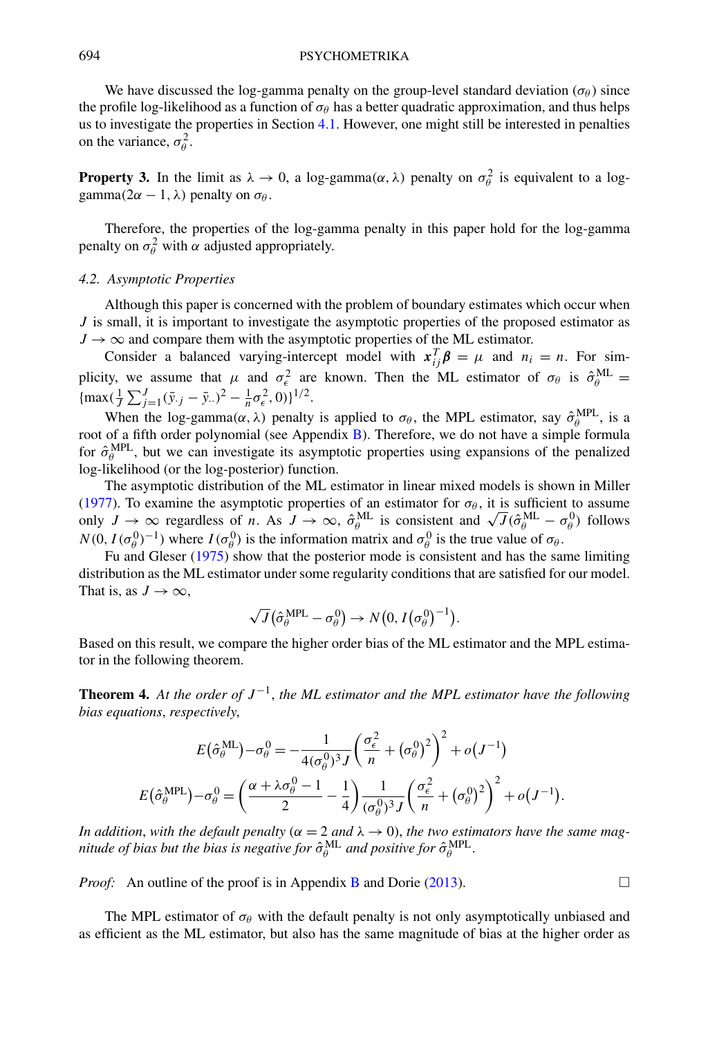<span id="page-9-1"></span>We have discussed the log-gamma penalty on the group-level standard deviation ( $\sigma_{\theta}$ ) since the profile log-likelihood as a function of  $\sigma_{\theta}$  has a better quadratic approximation, and thus helps us to investigate the properties in Section [4.1](#page-7-3). However, one might still be interested in penalties on the variance,  $\sigma_{\theta}^2$ .

**Property 3.** In the limit as  $\lambda \to 0$ , a log-gamma $(\alpha, \lambda)$  penalty on  $\sigma_{\theta}^2$  is equivalent to a loggamma $(2\alpha - 1, \lambda)$  penalty on  $\sigma_{\theta}$ .

Therefore, the properties of the log-gamma penalty in this paper hold for the log-gamma penalty on  $\sigma_{\theta}^2$  with  $\alpha$  adjusted appropriately.

### *4.2. Asymptotic Properties*

Although this paper is concerned with the problem of boundary estimates which occur when *J* is small, it is important to investigate the asymptotic properties of the proposed estimator as  $J \rightarrow \infty$  and compare them with the asymptotic properties of the ML estimator.

Consider a balanced varying-intercept model with  $x_{ij}^T \beta = \mu$  and  $n_i = n$ . For simplicity, we assume that  $\mu$  and  $\sigma_{\epsilon}^2$  are known. Then the ML estimator of  $\sigma_{\theta}$  is  $\hat{\sigma}_{\theta}^{\text{ML}} =$  ${\frac{1}{J}\sum_{j=1}^{J}(\bar{y}_{\cdot j} - \bar{y}_{\cdot \cdot})^2 - \frac{1}{n}\sigma_{\epsilon}^2, 0) }^{1/2}.$ 

When the log-gamma $(\alpha, \lambda)$  penalty is applied to  $\sigma_{\theta}$ , the MPL estimator, say  $\hat{\sigma}_{\theta}^{MPL}$ , is a root of a fifth order polynomial (see Appendix [B\)](#page-19-1). Therefore, we do not have a simple formula for  $\hat{\sigma}_{\theta}^{\text{MPL}}$ , but we can investigate its asymptotic properties using expansions of the penalized log-likelihood (or the log-posterior) function.

The asymptotic distribution of the ML estimator in linear mixed models is shown in Miller [\(1977](#page-23-30)). To examine the asymptotic properties of an estimator for  $\sigma_{\theta}$ , it is sufficient to assume only *J*  $\rightarrow \infty$  regardless of *n*. As *J*  $\rightarrow \infty$ ,  $\hat{\sigma}_{\theta}^{\text{ML}}$  is consistent and  $\sqrt{J}(\hat{\sigma}_{\theta}^{\text{ML}} - \sigma_{\theta}^0)$  follows  $N(0, I(\sigma_\theta^0)^{-1})$  where  $I(\sigma_\theta^0)$  is the information matrix and  $\sigma_\theta^0$  is the true value of  $\sigma_\theta$ .

<span id="page-9-0"></span>Fu and Gleser ([1975\)](#page-23-31) show that the posterior mode is consistent and has the same limiting distribution as the ML estimator under some regularity conditions that are satisfied for our model. That is, as  $J \to \infty$ ,

$$
\sqrt{J}(\hat{\sigma}_{\theta}^{\text{MPL}} - \sigma_{\theta}^0) \rightarrow N(0, I(\sigma_{\theta}^0)^{-1}).
$$

Based on this result, we compare the higher order bias of the ML estimator and the MPL estimator in the following theorem.

**Theorem 4.** At the order of  $J^{-1}$ , the ML estimator and the MPL estimator have the following *bias equations*, *respectively*,

$$
E(\hat{\sigma}_{\theta}^{\text{ML}}) - \sigma_{\theta}^{0} = -\frac{1}{4(\sigma_{\theta}^{0})^{3} J} \left(\frac{\sigma_{\epsilon}^{2}}{n} + (\sigma_{\theta}^{0})^{2}\right)^{2} + o(J^{-1})
$$

$$
E(\hat{\sigma}_{\theta}^{\text{MPL}}) - \sigma_{\theta}^{0} = \left(\frac{\alpha + \lambda \sigma_{\theta}^{0} - 1}{2} - \frac{1}{4}\right) \frac{1}{(\sigma_{\theta}^{0})^{3} J} \left(\frac{\sigma_{\epsilon}^{2}}{n} + (\sigma_{\theta}^{0})^{2}\right)^{2} + o(J^{-1}).
$$

*In addition, with the default penalty* ( $\alpha = 2$  *and*  $\lambda \rightarrow 0$ )*, the two estimators have the same magnitude of bias but the bias is negative for*  $\hat{\sigma}^{\rm ML}_{\theta}$  *and positive for*  $\hat{\sigma}^{\rm MPL}_{\theta}$ *.* 

*Proof:* An outline of the proof is in Appendix [B](#page-19-1) and Dorie ([2013\)](#page-23-32).  $\Box$ 

The MPL estimator of  $\sigma_{\theta}$  with the default penalty is not only asymptotically unbiased and as efficient as the ML estimator, but also has the same magnitude of bias at the higher order as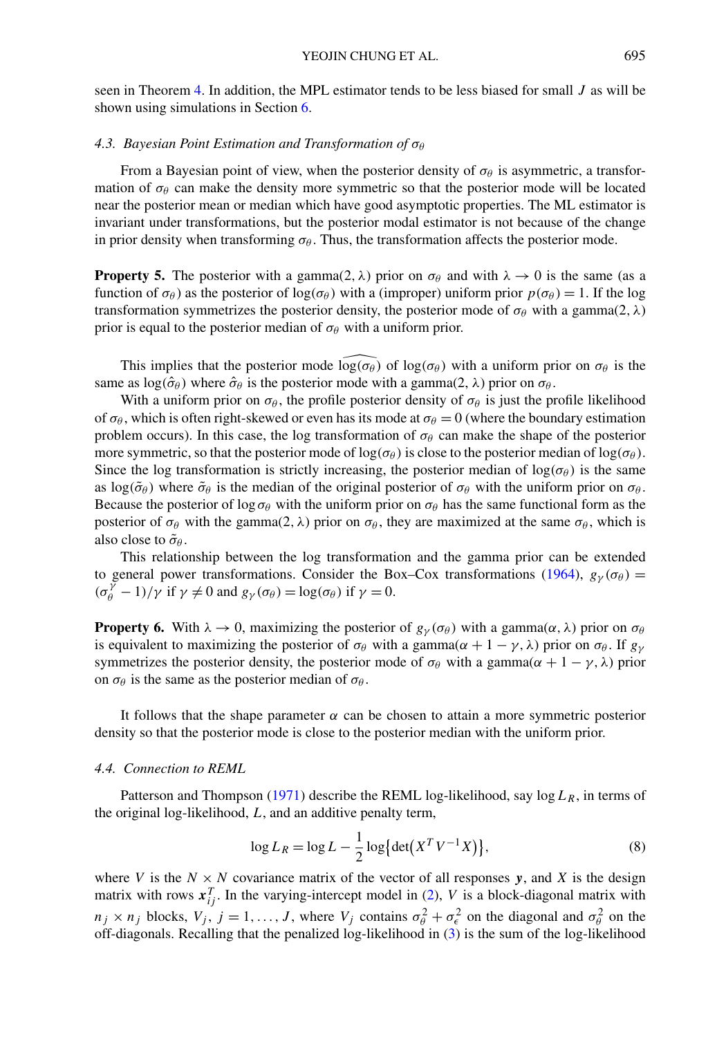seen in Theorem [4.](#page-9-0) In addition, the MPL estimator tends to be less biased for small *J* as will be shown using simulations in Section [6](#page-13-0).

### *4.3. Bayesian Point Estimation and Transformation of σθ*

From a Bayesian point of view, when the posterior density of  $\sigma_{\theta}$  is asymmetric, a transformation of  $\sigma_\theta$  can make the density more symmetric so that the posterior mode will be located near the posterior mean or median which have good asymptotic properties. The ML estimator is invariant under transformations, but the posterior modal estimator is not because of the change in prior density when transforming  $\sigma_{\theta}$ . Thus, the transformation affects the posterior mode.

**Property 5.** The posterior with a gamma $(2, \lambda)$  prior on  $\sigma_{\theta}$  and with  $\lambda \rightarrow 0$  is the same (as a function of  $\sigma_{\theta}$ ) as the posterior of log( $\sigma_{\theta}$ ) with a (improper) uniform prior  $p(\sigma_{\theta}) = 1$ . If the log transformation symmetrizes the posterior density, the posterior mode of  $\sigma_\theta$  with a gamma $(2, \lambda)$ prior is equal to the posterior median of  $\sigma_{\theta}$  with a uniform prior.

This implies that the posterior mode  $\widehat{\log(\sigma_\theta)}$  of  $\log(\sigma_\theta)$  with a uniform prior on  $\sigma_\theta$  is the same as  $\log(\hat{\sigma}_{\theta})$  where  $\hat{\sigma}_{\theta}$  is the posterior mode with a gamma(2,  $\lambda$ ) prior on  $\sigma_{\theta}$ .

With a uniform prior on  $\sigma_{\theta}$ , the profile posterior density of  $\sigma_{\theta}$  is just the profile likelihood of  $\sigma_{\theta}$ , which is often right-skewed or even has its mode at  $\sigma_{\theta} = 0$  (where the boundary estimation problem occurs). In this case, the log transformation of  $\sigma_\theta$  can make the shape of the posterior more symmetric, so that the posterior mode of  $log(\sigma_{\theta})$  is close to the posterior median of  $log(\sigma_{\theta})$ . Since the log transformation is strictly increasing, the posterior median of  $\log(\sigma_{\theta})$  is the same as  $\log(\tilde{\sigma}_{\theta})$  where  $\tilde{\sigma}_{\theta}$  is the median of the original posterior of  $\sigma_{\theta}$  with the uniform prior on  $\sigma_{\theta}$ . Because the posterior of  $\log \sigma_\theta$  with the uniform prior on  $\sigma_\theta$  has the same functional form as the posterior of  $\sigma_{\theta}$  with the gamma $(2, \lambda)$  prior on  $\sigma_{\theta}$ , they are maximized at the same  $\sigma_{\theta}$ , which is also close to  $\tilde{\sigma}_{\theta}$ .

<span id="page-10-2"></span>This relationship between the log transformation and the gamma prior can be extended to general power transformations. Consider the Box–Cox transformations [\(1964](#page-23-33)),  $g_{\gamma}(\sigma_{\theta}) =$  $(\sigma_{\theta}^{\gamma} - 1)/\gamma$  if  $\gamma \neq 0$  and  $g_{\gamma}(\sigma_{\theta}) = \log(\sigma_{\theta})$  if  $\gamma = 0$ .

<span id="page-10-1"></span>**Property 6.** With  $\lambda \to 0$ , maximizing the posterior of  $g_{\gamma}(\sigma_{\theta})$  with a gamma $(\alpha, \lambda)$  prior on  $\sigma_{\theta}$ is equivalent to maximizing the posterior of  $\sigma_\theta$  with a gamma( $\alpha + 1 - \gamma$ ,  $\lambda$ ) prior on  $\sigma_\theta$ . If  $g_\gamma$ symmetrizes the posterior density, the posterior mode of  $\sigma_\theta$  with a gamma( $\alpha + 1 - \gamma$ ,  $\lambda$ ) prior on  $\sigma_{\theta}$  is the same as the posterior median of  $\sigma_{\theta}$ .

<span id="page-10-0"></span>It follows that the shape parameter  $\alpha$  can be chosen to attain a more symmetric posterior density so that the posterior mode is close to the posterior median with the uniform prior.

#### *4.4. Connection to REML*

Patterson and Thompson ([1971\)](#page-24-11) describe the REML log-likelihood, say log*LR*, in terms of the original log-likelihood, *L*, and an additive penalty term,

$$
\log L_R = \log L - \frac{1}{2} \log \left\{ \det \left( X^T V^{-1} X \right) \right\},\tag{8}
$$

where *V* is the  $N \times N$  covariance matrix of the vector of all responses *y*, and *X* is the design matrix with rows  $x_{ij}^T$ . In the varying-intercept model in [\(2](#page-5-2)), *V* is a block-diagonal matrix with  $n_j \times n_j$  blocks,  $V_j$ ,  $j = 1, ..., J$ , where  $V_j$  contains  $\sigma_{\theta}^2 + \sigma_{\epsilon}^2$  on the diagonal and  $\sigma_{\theta}^2$  on the off-diagonals. Recalling that the penalized log-likelihood in [\(3](#page-5-1)) is the sum of the log-likelihood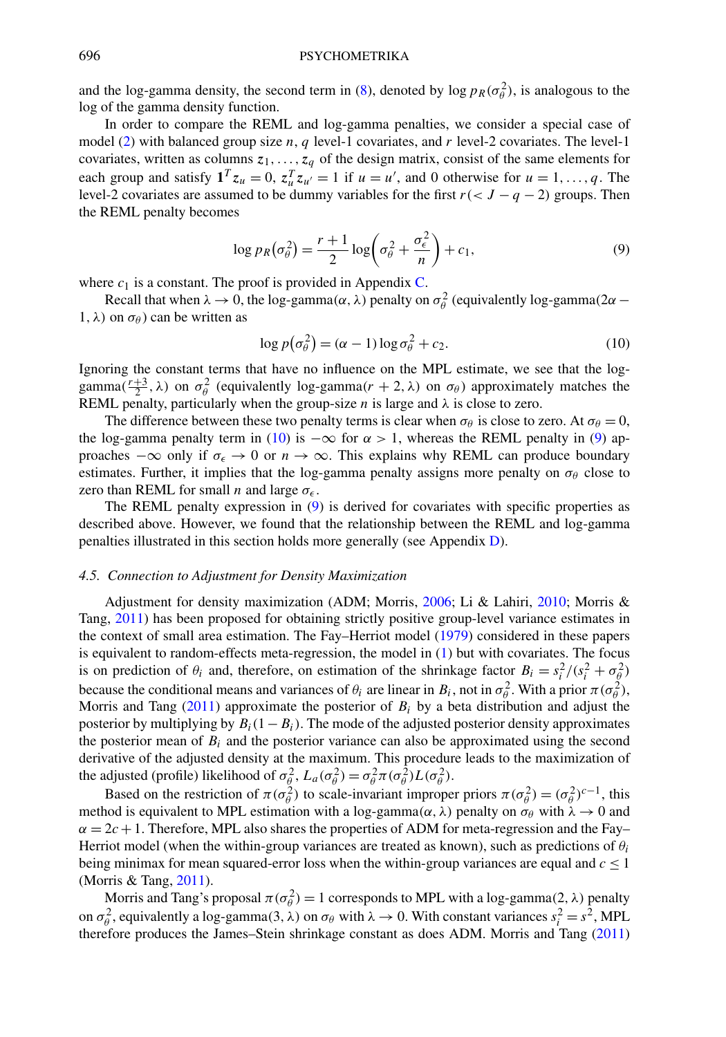and the log-gamma density, the second term in [\(8](#page-10-0)), denoted by log  $p_R(\sigma_\theta^2)$ , is analogous to the log of the gamma density function.

<span id="page-11-1"></span>In order to compare the REML and log-gamma penalties, we consider a special case of model ([2\)](#page-5-2) with balanced group size *n*, *q* level-1 covariates, and *r* level-2 covariates. The level-1 covariates, written as columns  $z_1, \ldots, z_q$  of the design matrix, consist of the same elements for each group and satisfy  $\mathbf{1}^T z_u = 0$ ,  $z_u^T z_{u'} = 1$  if  $u = u'$ , and 0 otherwise for  $u = 1, ..., q$ . The level-2 covariates are assumed to be dummy variables for the first  $r(< J - q - 2)$  groups. Then the REML penalty becomes

<span id="page-11-2"></span><span id="page-11-0"></span>
$$
\log p_R(\sigma_\theta^2) = \frac{r+1}{2} \log \left( \sigma_\theta^2 + \frac{\sigma_\epsilon^2}{n} \right) + c_1,\tag{9}
$$

where  $c_1$  is a constant. The proof is provided in Appendix [C.](#page-20-0)

Recall that when  $\lambda \to 0$ , the log-gamma $(\alpha, \lambda)$  penalty on  $\sigma_\theta^2$  (equivalently log-gamma $(2\alpha -$ 1,  $λ$ ) on  $σ<sub>θ</sub>$ ) can be written as

$$
\log p(\sigma_{\theta}^2) = (\alpha - 1) \log \sigma_{\theta}^2 + c_2. \tag{10}
$$

Ignoring the constant terms that have no influence on the MPL estimate, we see that the loggamma $(\frac{r+3}{2}, \lambda)$  on  $\sigma_{\theta}^2$  (equivalently log-gamma $(r+2, \lambda)$  on  $\sigma_{\theta}$ ) approximately matches the REML penalty, particularly when the group-size *n* is large and  $\lambda$  is close to zero.

The difference between these two penalty terms is clear when  $\sigma_{\theta}$  is close to zero. At  $\sigma_{\theta} = 0$ , the log-gamma penalty term in [\(10](#page-11-0)) is  $-\infty$  for  $\alpha > 1$ , whereas the REML penalty in ([9\)](#page-11-1) approaches  $-\infty$  only if  $\sigma_{\epsilon} \to 0$  or  $n \to \infty$ . This explains why REML can produce boundary estimates. Further, it implies that the log-gamma penalty assigns more penalty on  $\sigma_{\theta}$  close to zero than REML for small *n* and large  $\sigma_{\epsilon}$ .

The REML penalty expression in ([9\)](#page-11-1) is derived for covariates with specific properties as described above. However, we found that the relationship between the REML and log-gamma penalties illustrated in this section holds more generally (see Appendix [D](#page-21-0)).

#### *4.5. Connection to Adjustment for Density Maximization*

Adjustment for density maximization (ADM; Morris, [2006](#page-24-19); Li & Lahiri, [2010](#page-23-8); Morris & Tang, [2011\)](#page-24-5) has been proposed for obtaining strictly positive group-level variance estimates in the context of small area estimation. The Fay–Herriot model [\(1979](#page-23-7)) considered in these papers is equivalent to random-effects meta-regression, the model in  $(1)$  $(1)$  but with covariates. The focus is on prediction of  $\theta_i$  and, therefore, on estimation of the shrinkage factor  $B_i = s_i^2/(s_i^2 + \sigma_{\theta}^2)$ because the conditional means and variances of  $\theta_i$  are linear in  $B_i$ , not in  $\sigma_\theta^2$ . With a prior  $\pi(\sigma_\theta^2)$ , Morris and Tang  $(2011)$  $(2011)$  approximate the posterior of  $B<sub>i</sub>$  by a beta distribution and adjust the posterior by multiplying by  $B_i(1-B_i)$ . The mode of the adjusted posterior density approximates the posterior mean of  $B_i$  and the posterior variance can also be approximated using the second derivative of the adjusted density at the maximum. This procedure leads to the maximization of the adjusted (profile) likelihood of  $\sigma_{\theta}^2$ ,  $L_a(\sigma_{\theta}^2) = \sigma_{\theta}^2 \pi(\sigma_{\theta}^2) L(\sigma_{\theta}^2)$ .

Based on the restriction of  $\pi(\sigma_\theta^2)$  to scale-invariant improper priors  $\pi(\sigma_\theta^2) = (\sigma_\theta^2)^{c-1}$ , this method is equivalent to MPL estimation with a log-gamma $(\alpha, \lambda)$  penalty on  $\sigma_{\theta}$  with  $\lambda \to 0$  and  $\alpha = 2c + 1$ . Therefore, MPL also shares the properties of ADM for meta-regression and the Fay– Herriot model (when the within-group variances are treated as known), such as predictions of *θi* being minimax for mean squared-error loss when the within-group variances are equal and  $c \leq 1$ (Morris & Tang, [2011\)](#page-24-5).

Morris and Tang's proposal  $\pi(\sigma_\theta^2) = 1$  corresponds to MPL with a log-gamma(2, λ) penalty on  $\sigma_{\theta}^2$ , equivalently a log-gamma $(3, \lambda)$  on  $\sigma_{\theta}$  with  $\lambda \to 0$ . With constant variances  $s_i^2 = s^2$ , MPL therefore produces the James–Stein shrinkage constant as does ADM. Morris and Tang [\(2011](#page-24-5))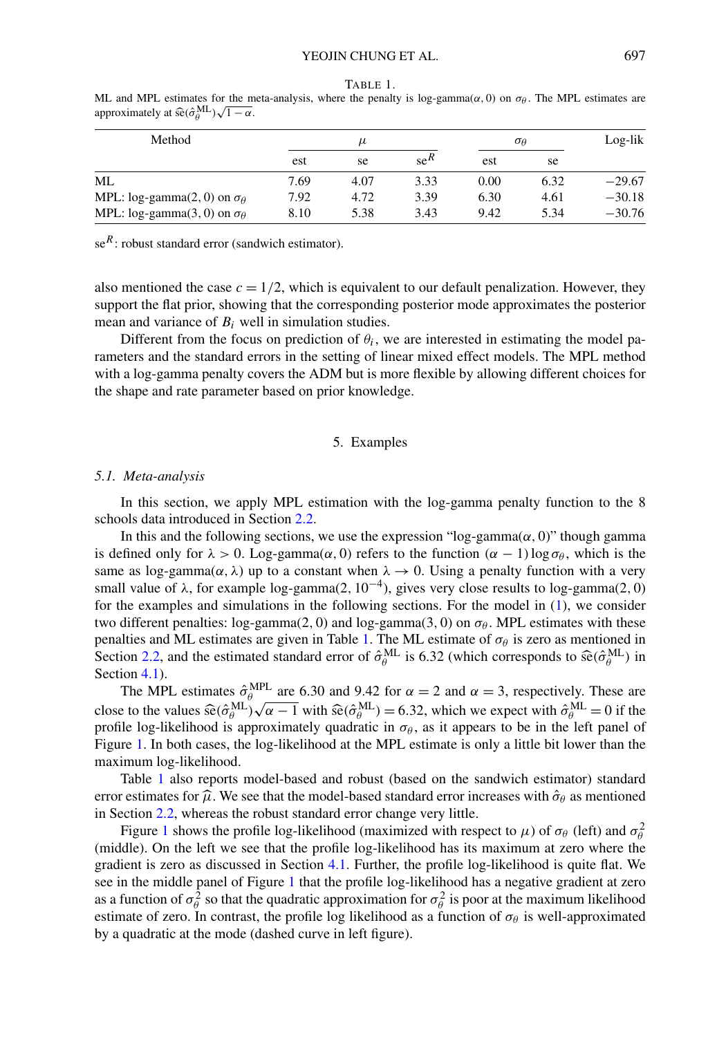| Method                                       | $\mu$ |      |               | $\sigma_{\theta}$ |      | Log-lik  |
|----------------------------------------------|-------|------|---------------|-------------------|------|----------|
|                                              | est   | se   | $se^{\kappa}$ | est               | se   |          |
| ML                                           | 7.69  | 4.07 | 3.33          | 0.00              | 6.32 | $-29.67$ |
| MPL: log-gamma $(2, 0)$ on $\sigma_{\theta}$ | 7.92  | 4.72 | 3.39          | 6.30              | 4.61 | $-30.18$ |
| MPL: $log-gamma(3, 0)$ on $\sigma_{\theta}$  | 8.10  | 5.38 | 3.43          | 9.42              | 5.34 | $-30.76$ |

<span id="page-12-1"></span>TABLE 1. ML and MPL estimates for the meta-analysis, where the penalty is log-gamma( $\alpha$ , 0) on  $\sigma_{\theta}$ . The MPL estimates are approximately at  $\hat{\text{se}}(\hat{\sigma}_{\theta}^{\text{ML}})\sqrt{1-\alpha}$ .

se<sup>R</sup>: robust standard error (sandwich estimator).

also mentioned the case  $c = 1/2$ , which is equivalent to our default penalization. However, they support the flat prior, showing that the corresponding posterior mode approximates the posterior mean and variance of  $B_i$  well in simulation studies.

<span id="page-12-0"></span>Different from the focus on prediction of  $\theta_i$ , we are interested in estimating the model parameters and the standard errors in the setting of linear mixed effect models. The MPL method with a log-gamma penalty covers the ADM but is more flexible by allowing different choices for the shape and rate parameter based on prior knowledge.

### 5. Examples

#### *5.1. Meta-analysis*

In this section, we apply MPL estimation with the log-gamma penalty function to the 8 schools data introduced in Section [2.2](#page-3-0).

In this and the following sections, we use the expression "log-gamma $(\alpha, 0)$ " though gamma is defined only for  $\lambda > 0$ . Log-gamma( $\alpha$ , 0) refers to the function  $(\alpha - 1) \log \sigma_{\theta}$ , which is the same as  $\log$ -gamma( $\alpha$ ,  $\lambda$ ) up to a constant when  $\lambda \to 0$ . Using a penalty function with a very small value of  $\lambda$ , for example log-gamma(2, 10<sup>-4</sup>), gives very close results to log-gamma(2, 0) for the examples and simulations in the following sections. For the model in [\(1](#page-3-1)), we consider two different penalties:  $log-gamma(2, 0)$  and  $log-gamma(3, 0)$  on  $\sigma_{\theta}$ . MPL estimates with these penalties and ML estimates are given in Table [1](#page-12-1). The ML estimate of *σθ* is zero as mentioned in Section [2.2,](#page-3-0) and the estimated standard error of  $\hat{\sigma}_{\theta}^{\text{ML}}$  is 6.32 (which corresponds to  $\hat{\text{se}}(\hat{\sigma}_{\theta}^{\text{ML}})$  in Section 4.1) Section [4.1\)](#page-7-3).

The MPL estimates  $\hat{\sigma}_{\theta}^{MPL}$  are 6.30 and 9.42 for  $\alpha = 2$  and  $\alpha = 3$ , respectively. These are close to the values  $\hat{\mathbf{s}}(\hat{\sigma}_{\theta}^{\text{ML}})\sqrt{\alpha-1}$  with  $\hat{\mathbf{s}}(\hat{\sigma}_{\theta}^{\text{ML}}) = 6.32$ , which we expect with  $\hat{\sigma}_{\theta}^{\text{ML}} = 0$  if the profile log-likelihood is approximately quadratic in  $\sigma_{\theta}$  as it appears to be in profile log-likelihood is approximately quadratic in  $\sigma_{\theta}$ , as it appears to be in the left panel of Figure [1](#page-4-0). In both cases, the log-likelihood at the MPL estimate is only a little bit lower than the maximum log-likelihood.

Table [1](#page-12-1) also reports model-based and robust (based on the sandwich estimator) standard error estimates for  $\hat{\mu}$ . We see that the model-based standard error increases with  $\hat{\sigma}_{\theta}$  as mentioned in Section [2.2,](#page-3-0) whereas the robust standard error change very little.

Figure [1](#page-4-0) shows the profile log-likelihood (maximized with respect to  $\mu$ ) of  $\sigma_{\theta}$  (left) and  $\sigma_{\theta}^2$ (middle). On the left we see that the profile log-likelihood has its maximum at zero where the gradient is zero as discussed in Section [4.1](#page-7-3). Further, the profile log-likelihood is quite flat. We see in the middle panel of Figure [1](#page-4-0) that the profile log-likelihood has a negative gradient at zero as a function of  $\sigma_{\theta}^2$  so that the quadratic approximation for  $\sigma_{\theta}^2$  is poor at the maximum likelihood estimate of zero. In contrast, the profile log likelihood as a function of  $\sigma_{\theta}$  is well-approximated by a quadratic at the mode (dashed curve in left figure).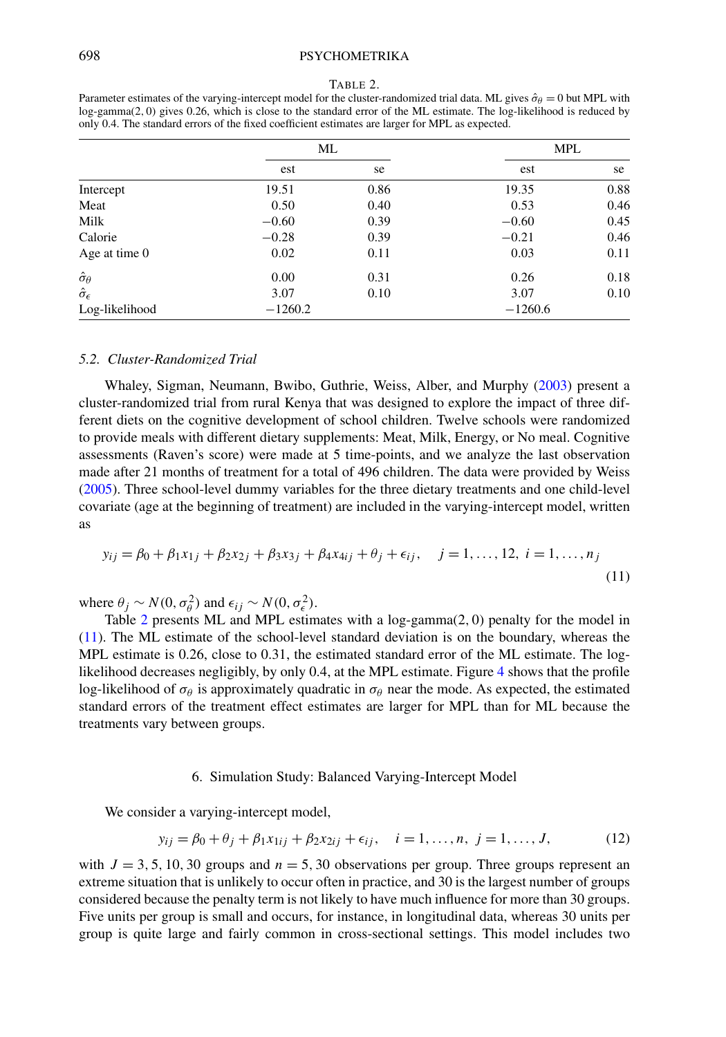|                           | МL        |      | <b>MPL</b> |      |  |
|---------------------------|-----------|------|------------|------|--|
|                           | est       | se   | est        | se   |  |
| Intercept                 | 19.51     | 0.86 | 19.35      | 0.88 |  |
| Meat                      | 0.50      | 0.40 | 0.53       | 0.46 |  |
| Milk                      | $-0.60$   | 0.39 | $-0.60$    | 0.45 |  |
| Calorie                   | $-0.28$   | 0.39 | $-0.21$    | 0.46 |  |
| Age at time 0             | 0.02      | 0.11 | 0.03       | 0.11 |  |
| $\hat{\sigma}_{\theta}$   | 0.00      | 0.31 | 0.26       | 0.18 |  |
| $\hat{\sigma}_{\epsilon}$ | 3.07      | 0.10 | 3.07       | 0.10 |  |
| Log-likelihood            | $-1260.2$ |      | $-1260.6$  |      |  |

<span id="page-13-1"></span>

| TABLE 2.                                                                                                                                    |
|---------------------------------------------------------------------------------------------------------------------------------------------|
| Parameter estimates of the varying-intercept model for the cluster-randomized trial data. ML gives $\hat{\sigma}_{\theta} = 0$ but MPL with |
| log-gamma(2,0) gives 0.26, which is close to the standard error of the ML estimate. The log-likelihood is reduced by                        |
| only 0.4. The standard errors of the fixed coefficient estimates are larger for MPL as expected.                                            |

### *5.2. Cluster-Randomized Trial*

Whaley, Sigman, Neumann, Bwibo, Guthrie, Weiss, Alber, and Murphy ([2003\)](#page-24-20) present a cluster-randomized trial from rural Kenya that was designed to explore the impact of three different diets on the cognitive development of school children. Twelve schools were randomized to provide meals with different dietary supplements: Meat, Milk, Energy, or No meal. Cognitive assessments (Raven's score) were made at 5 time-points, and we analyze the last observation made after 21 months of treatment for a total of 496 children. The data were provided by Weiss [\(2005](#page-24-21)). Three school-level dummy variables for the three dietary treatments and one child-level covariate (age at the beginning of treatment) are included in the varying-intercept model, written as

<span id="page-13-2"></span>
$$
y_{ij} = \beta_0 + \beta_1 x_{1j} + \beta_2 x_{2j} + \beta_3 x_{3j} + \beta_4 x_{4ij} + \theta_j + \epsilon_{ij}, \quad j = 1, ..., 12, \ i = 1, ..., n_j
$$
\n(11)

where  $\theta_j \sim N(0, \sigma_\theta^2)$  and  $\epsilon_{ij} \sim N(0, \sigma_\epsilon^2)$ .

<span id="page-13-0"></span>Table [2](#page-13-1) presents ML and MPL estimates with a log-gamma(2*,* 0) penalty for the model in [\(11](#page-13-2)). The ML estimate of the school-level standard deviation is on the boundary, whereas the MPL estimate is 0.26, close to 0.31, the estimated standard error of the ML estimate. The loglikelihood decreases negligibly, by only 0.4, at the MPL estimate. Figure [4](#page-14-0) shows that the profile log-likelihood of  $\sigma_{\theta}$  is approximately quadratic in  $\sigma_{\theta}$  near the mode. As expected, the estimated standard errors of the treatment effect estimates are larger for MPL than for ML because the treatments vary between groups.

#### 6. Simulation Study: Balanced Varying-Intercept Model

We consider a varying-intercept model,

$$
y_{ij} = \beta_0 + \theta_j + \beta_1 x_{1ij} + \beta_2 x_{2ij} + \epsilon_{ij}, \quad i = 1, ..., n, \ j = 1, ..., J,
$$
 (12)

with  $J = 3, 5, 10, 30$  groups and  $n = 5, 30$  observations per group. Three groups represent an extreme situation that is unlikely to occur often in practice, and 30 is the largest number of groups considered because the penalty term is not likely to have much influence for more than 30 groups. Five units per group is small and occurs, for instance, in longitudinal data, whereas 30 units per group is quite large and fairly common in cross-sectional settings. This model includes two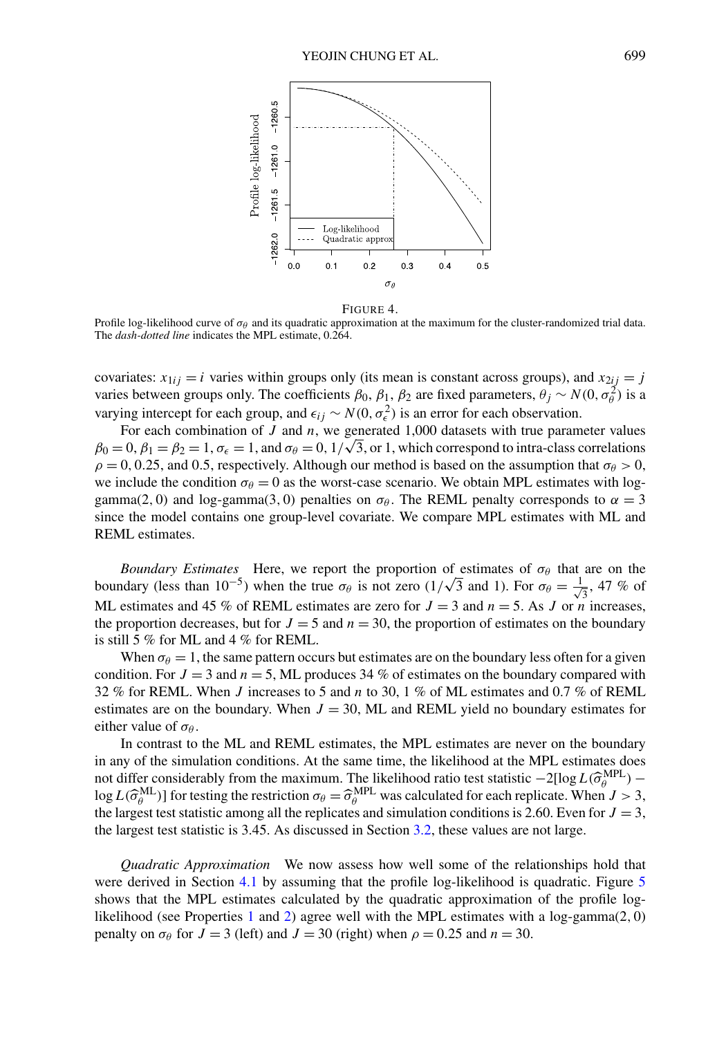

FIGURE 4.

<span id="page-14-0"></span>Profile log-likelihood curve of  $\sigma_\theta$  and its quadratic approximation at the maximum for the cluster-randomized trial data. The *dash-dotted line* indicates the MPL estimate, 0.264.

covariates:  $x_{1ij} = i$  varies within groups only (its mean is constant across groups), and  $x_{2ij} = j$ varies between groups only. The coefficients  $\beta_0$ ,  $\beta_1$ ,  $\beta_2$  are fixed parameters,  $\theta_j \sim N(0, \sigma_\theta^2)$  is a varying intercept for each group, and  $\epsilon_{ij} \sim N(0, \sigma_{\epsilon}^2)$  is an error for each observation.

For each combination of *J* and *n*, we generated 1,000 datasets with true parameter values  $β$  $0 = 0$ ,  $β$ <sub> $1 = β$ </sub> $2 = 1$ ,  $σ$ <sub> $ε$ </sub> $= 1$ , and  $σ$ <sub> $θ$ </sub> $= 0$ ,  $1/\sqrt{3}$ , or 1, which correspond to intra-class correlations  $\rho = 0, 0.25$ , and 0.5, respectively. Although our method is based on the assumption that  $\sigma_{\theta} > 0$ , we include the condition  $\sigma_{\theta} = 0$  as the worst-case scenario. We obtain MPL estimates with loggamma(2, 0) and log-gamma(3, 0) penalties on  $\sigma_{\theta}$ . The REML penalty corresponds to  $\alpha = 3$ since the model contains one group-level covariate. We compare MPL estimates with ML and REML estimates.

*Boundary Estimates* Here, we report the proportion of estimates of  $\sigma_\theta$  that are on the *boundary Estimates* Here, we report the proportion of estimates of  $\sigma_\theta$  that boundary (less than 10<sup>-5</sup>) when the true  $\sigma_\theta$  is not zero (1/ $\sqrt{3}$  and 1). For  $\sigma_\theta = \frac{1}{\sqrt{3}}$  $\frac{1}{3}$ , 47 % of ML estimates and 45 % of REML estimates are zero for  $J = 3$  and  $n = 5$ . As *J* or *n* increases, the proportion decreases, but for  $J = 5$  and  $n = 30$ , the proportion of estimates on the boundary is still 5 % for ML and 4 % for REML.

When  $\sigma_{\theta} = 1$ , the same pattern occurs but estimates are on the boundary less often for a given condition. For  $J = 3$  and  $n = 5$ , ML produces 34 % of estimates on the boundary compared with 32 % for REML. When *J* increases to 5 and *n* to 30, 1 % of ML estimates and 0.7 % of REML estimates are on the boundary. When  $J = 30$ , ML and REML yield no boundary estimates for either value of *σ*<sub>θ</sub>.

In contrast to the ML and REML estimates, the MPL estimates are never on the boundary in any of the simulation conditions. At the same time, the likelihood at the MPL estimates does not differ considerably from the maximum. The likelihood ratio test statistic  $-2[\log L(\hat{\sigma}_{\theta}^{\text{MPL}})]$  −  $\log L(\hat{\sigma}_{\theta}^{\text{ML}})$  for testing the restriction  $\sigma_{\theta} = \hat{\sigma}_{\theta}^{\text{MPL}}$  was calculated for each replicate. When  $L >$  $\log L(\hat{\sigma}_{\theta}^{\text{ML}})$ ] for testing the restriction  $\sigma_{\theta} = \hat{\sigma}_{\theta}^{\text{MPL}}$  was calculated for each replicate. When  $J > 3$ , the largest test statistic among all the replicates and simulation conditions is 2.60. Even for  $J$ the largest test statistic among all the replicates and simulation conditions is 2.60. Even for  $J = 3$ , the largest test statistic is 3.45. As discussed in Section [3.2](#page-5-3), these values are not large.

*Quadratic Approximation* We now assess how well some of the relationships hold that were derived in Section [4.1](#page-7-3) by assuming that the profile log-likelihood is quadratic. Figure [5](#page-15-0) shows that the MPL estimates calculated by the quadratic approximation of the profile loglikelihood (see Properties [1](#page-8-1) and [2](#page-8-2)) agree well with the MPL estimates with a log-gamma(2*,* 0) penalty on  $\sigma_{\theta}$  for  $J = 3$  (left) and  $J = 30$  (right) when  $\rho = 0.25$  and  $n = 30$ .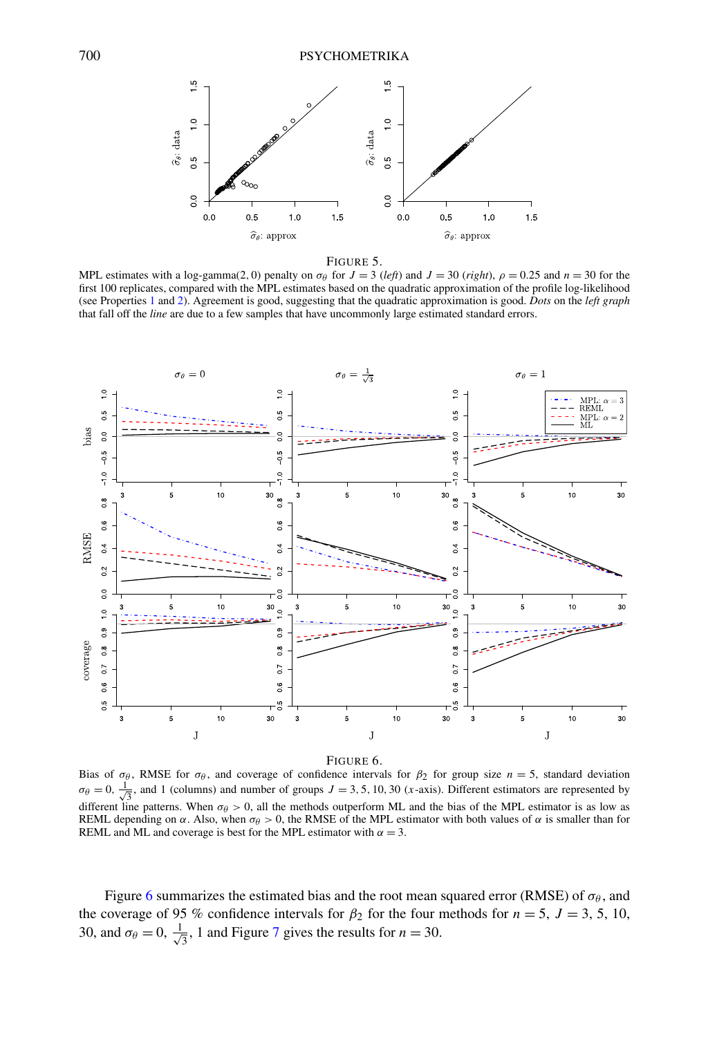



<span id="page-15-0"></span>MPL estimates with a log-gamma(2, 0) penalty on  $\sigma_{\theta}$  for  $J = 3$  (*left*) and  $J = 30$  (*right*),  $\rho = 0.25$  and  $n = 30$  for the first 100 replicates, compared with the MPL estimates based on the quadratic approximation of the profile log-likelihood (see Properties [1](#page-8-1) and [2](#page-8-2)). Agreement is good, suggesting that the quadratic approximation is good. *Dots* on the *left graph* that fall off the *line* are due to a few samples that have uncommonly large estimated standard errors.



#### FIGURE 6.

<span id="page-15-1"></span>Bias of  $\sigma_{\theta}$ , RMSE for  $\sigma_{\theta}$ , and coverage of confidence intervals for  $\beta_2$  for group size  $n = 5$ , standard deviation  $\sigma_{\theta} = 0, \frac{1}{\sqrt{2}}$  $\frac{\pi}{3}$ , and 1 (columns) and number of groups  $J = 3, 5, 10, 30$  (*x*-axis). Different estimators are represented by different line patterns. When  $\sigma_{\theta} > 0$ , all the methods outperform ML and the bias of the MPL estimator is as low as REML depending on  $\alpha$ . Also, when  $\sigma_{\theta} > 0$ , the RMSE of the MPL estimator with both values of  $\alpha$  is smaller than for REML and ML and coverage is best for the MPL estimator with  $\alpha = 3$ .

Figure [6](#page-15-1) summarizes the estimated bias and the root mean squared error (RMSE) of  $\sigma_{\theta}$ , and the coverage of 95 % confidence intervals for  $\beta_2$  for the four methods for  $n = 5$ ,  $J = 3$ , 5, 10, 30, and  $\sigma_{\theta} = 0, \frac{1}{\sqrt{2}}$  $\frac{1}{3}$ , 1 and Figure [7](#page-16-0) gives the results for  $n = 30$ .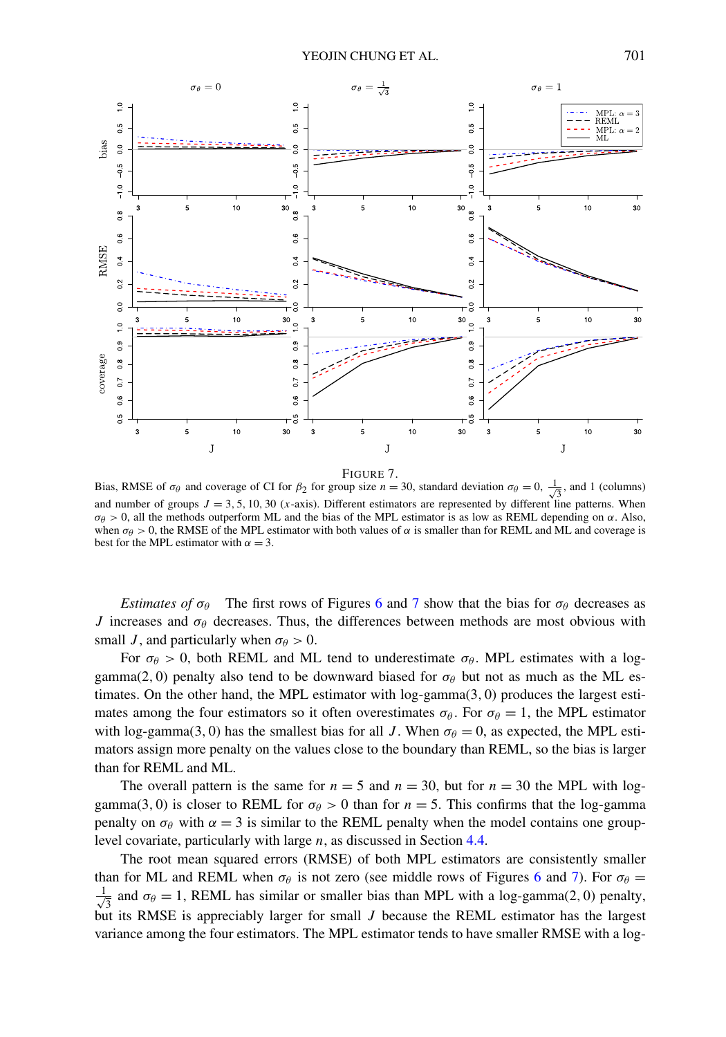

FIGURE 7.

<span id="page-16-0"></span>Bias, RMSE of  $\sigma_{\theta}$  and coverage of CI for  $\beta_2$  for group size  $n = 30$ , standard deviation  $\sigma_{\theta} = 0$ ,  $\frac{1}{\sqrt{2}}$  $\frac{1}{3}$ , and 1 (columns) and number of groups  $J = 3, 5, 10, 30$  (*x*-axis). Different estimators are represented by different line patterns. When  $σ<sub>θ</sub> > 0$ , all the methods outperform ML and the bias of the MPL estimator is as low as REML depending on *α*. Also, when  $\sigma_{\theta} > 0$ , the RMSE of the MPL estimator with both values of  $\alpha$  is smaller than for REML and ML and coverage is best for the MPL estimator with  $\alpha = 3$ .

*Estimates of*  $\sigma_\theta$  The first rows of Figures [6](#page-15-1) and [7](#page-16-0) show that the bias for  $\sigma_\theta$  decreases as *J* increases and  $\sigma_{\theta}$  decreases. Thus, the differences between methods are most obvious with small *J*, and particularly when  $\sigma_{\theta} > 0$ .

For  $\sigma_{\theta} > 0$ , both REML and ML tend to underestimate  $\sigma_{\theta}$ . MPL estimates with a loggamma(2, 0) penalty also tend to be downward biased for  $\sigma_{\theta}$  but not as much as the ML estimates. On the other hand, the MPL estimator with log-gamma(3*,* 0) produces the largest estimates among the four estimators so it often overestimates  $\sigma_{\theta}$ . For  $\sigma_{\theta} = 1$ , the MPL estimator with log-gamma(3,0) has the smallest bias for all *J*. When  $\sigma_{\theta} = 0$ , as expected, the MPL estimators assign more penalty on the values close to the boundary than REML, so the bias is larger than for REML and ML.

The overall pattern is the same for  $n = 5$  and  $n = 30$ , but for  $n = 30$  the MPL with loggamma(3, 0) is closer to REML for  $\sigma_{\theta} > 0$  than for  $n = 5$ . This confirms that the log-gamma penalty on  $\sigma_{\theta}$  with  $\alpha = 3$  is similar to the REML penalty when the model contains one grouplevel covariate, particularly with large *n*, as discussed in Section [4.4](#page-10-1).

The root mean squared errors (RMSE) of both MPL estimators are consistently smaller than for ML and REML when  $\sigma_{\theta}$  is not zero (see middle rows of Figures [6](#page-15-1) and [7\)](#page-16-0). For  $\sigma_{\theta}$  = √ 1  $\frac{1}{3}$  and  $\sigma_{\theta} = 1$ , REML has similar or smaller bias than MPL with a log-gamma(2, 0) penalty, but its RMSE is appreciably larger for small *J* because the REML estimator has the largest variance among the four estimators. The MPL estimator tends to have smaller RMSE with a log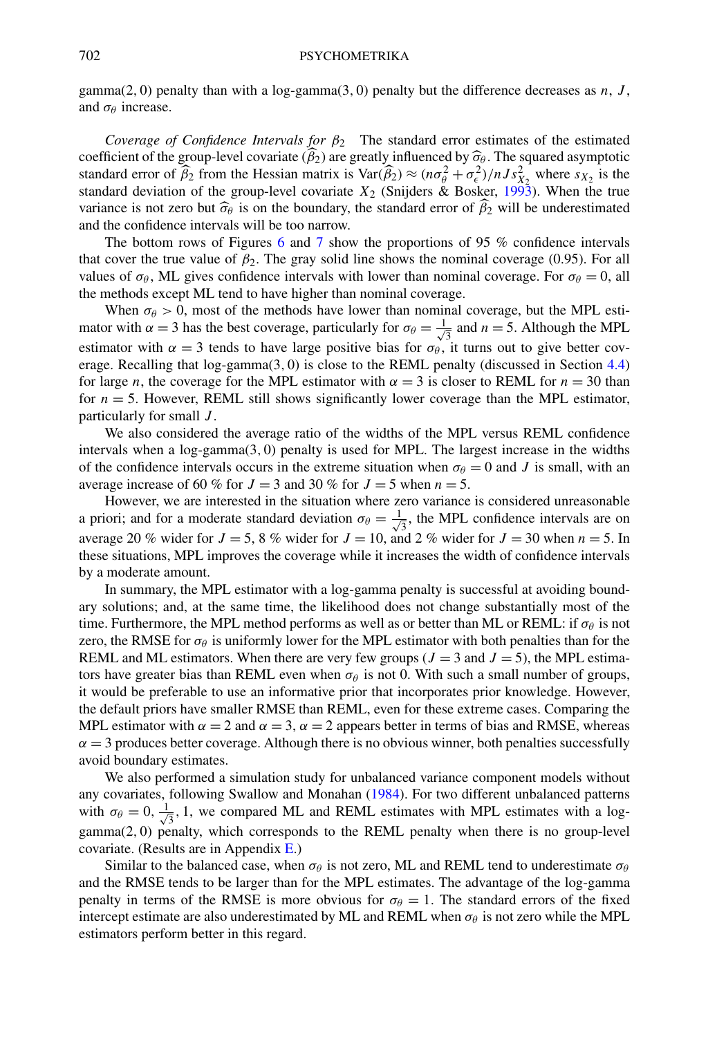gamma $(2, 0)$  penalty than with a log-gamma $(3, 0)$  penalty but the difference decreases as *n*, *J*, and *σθ* increase.

*Coverage of Confidence Intervals for β*<sup>2</sup> The standard error estimates of the estimated coefficient of the group-level covariate  $(\beta_2)$  are greatly influenced by  $\widehat{\sigma}_{\theta}$ . The squared asymptotic standard error of  $\widehat{\beta}_2$  from the Hessian matrix is  $\text{Var}(\widehat{\beta}_2) \approx (n\sigma_x^2 + \sigma^2)/nLs_x^2$ , where sy, is the standard error of  $\hat{\beta}_2$  from the Hessian matrix is  $\text{Var}(\hat{\beta}_2) \approx (n\sigma_\theta^2 + \sigma_\epsilon^2)/nJs_X^2$ , where  $s_{X_2}$  is the standard deviation of the group level covariate  $Y_2$ . (Spiiders  $\hat{\beta}_2$  Bosker 100<sup>2</sup>), When the true standard deviation of the group-level covariate  $X_2$  (Snijders & Bosker, [1993](#page-24-22)). When the true variance is not zero but  $\hat{\sigma}_{\theta}$  is on the boundary, the standard error of  $\hat{\beta}_2$  will be underestimated and the confidence intervals will be too narrow and the confidence intervals will be too narrow.

The bottom rows of Figures [6](#page-15-1) and [7](#page-16-0) show the proportions of 95 % confidence intervals that cover the true value of  $\beta_2$ . The gray solid line shows the nominal coverage (0.95). For all values of  $\sigma_{\theta}$ , ML gives confidence intervals with lower than nominal coverage. For  $\sigma_{\theta} = 0$ , all the methods except ML tend to have higher than nominal coverage.

When  $\sigma_{\theta} > 0$ , most of the methods have lower than nominal coverage, but the MPL estimator with  $\alpha = 3$  has the best coverage, particularly for  $\sigma_{\theta} = \frac{1}{\sqrt{3}}$  $\frac{1}{3}$  and *n* = 5. Although the MPL estimator with  $\alpha = 3$  tends to have large positive bias for  $\sigma_{\theta}$ , it turns out to give better coverage. Recalling that log-gamma(3*,* 0) is close to the REML penalty (discussed in Section [4.4](#page-10-1)) for large *n*, the coverage for the MPL estimator with  $\alpha = 3$  is closer to REML for  $n = 30$  than for  $n = 5$ . However, REML still shows significantly lower coverage than the MPL estimator, particularly for small *J* .

We also considered the average ratio of the widths of the MPL versus REML confidence intervals when a  $log$ -gamma $(3, 0)$  penalty is used for MPL. The largest increase in the widths of the confidence intervals occurs in the extreme situation when  $\sigma_{\theta} = 0$  and *J* is small, with an average increase of 60 % for  $J = 3$  and 30 % for  $J = 5$  when  $n = 5$ .

However, we are interested in the situation where zero variance is considered unreasonable a priori; and for a moderate standard deviation  $\sigma_{\theta} = \frac{1}{\sqrt{2}}$  $\frac{1}{3}$ , the MPL confidence intervals are on average 20 % wider for  $J = 5$ , 8 % wider for  $J = 10$ , and 2 % wider for  $J = 30$  when  $n = 5$ . In these situations, MPL improves the coverage while it increases the width of confidence intervals by a moderate amount.

In summary, the MPL estimator with a log-gamma penalty is successful at avoiding boundary solutions; and, at the same time, the likelihood does not change substantially most of the time. Furthermore, the MPL method performs as well as or better than ML or REML: if  $\sigma_{\theta}$  is not zero, the RMSE for  $\sigma_{\theta}$  is uniformly lower for the MPL estimator with both penalties than for the REML and ML estimators. When there are very few groups ( $J = 3$  and  $J = 5$ ), the MPL estimators have greater bias than REML even when  $\sigma_{\theta}$  is not 0. With such a small number of groups, it would be preferable to use an informative prior that incorporates prior knowledge. However, the default priors have smaller RMSE than REML, even for these extreme cases. Comparing the MPL estimator with  $\alpha = 2$  and  $\alpha = 3$ ,  $\alpha = 2$  appears better in terms of bias and RMSE, whereas  $\alpha = 3$  produces better coverage. Although there is no obvious winner, both penalties successfully avoid boundary estimates.

We also performed a simulation study for unbalanced variance component models without any covariates, following Swallow and Monahan [\(1984](#page-24-23)). For two different unbalanced patterns with  $\sigma_{\theta} = 0, \frac{1}{\sqrt{\theta}}$  $\frac{1}{3}$ , 1, we compared ML and REML estimates with MPL estimates with a loggamma(2*,* 0) penalty, which corresponds to the REML penalty when there is no group-level covariate. (Results are in Appendix [E.](#page-22-0))

Similar to the balanced case, when  $\sigma_{\theta}$  is not zero, ML and REML tend to underestimate  $\sigma_{\theta}$ and the RMSE tends to be larger than for the MPL estimates. The advantage of the log-gamma penalty in terms of the RMSE is more obvious for  $\sigma_{\theta} = 1$ . The standard errors of the fixed intercept estimate are also underestimated by ML and REML when  $\sigma_\theta$  is not zero while the MPL estimators perform better in this regard.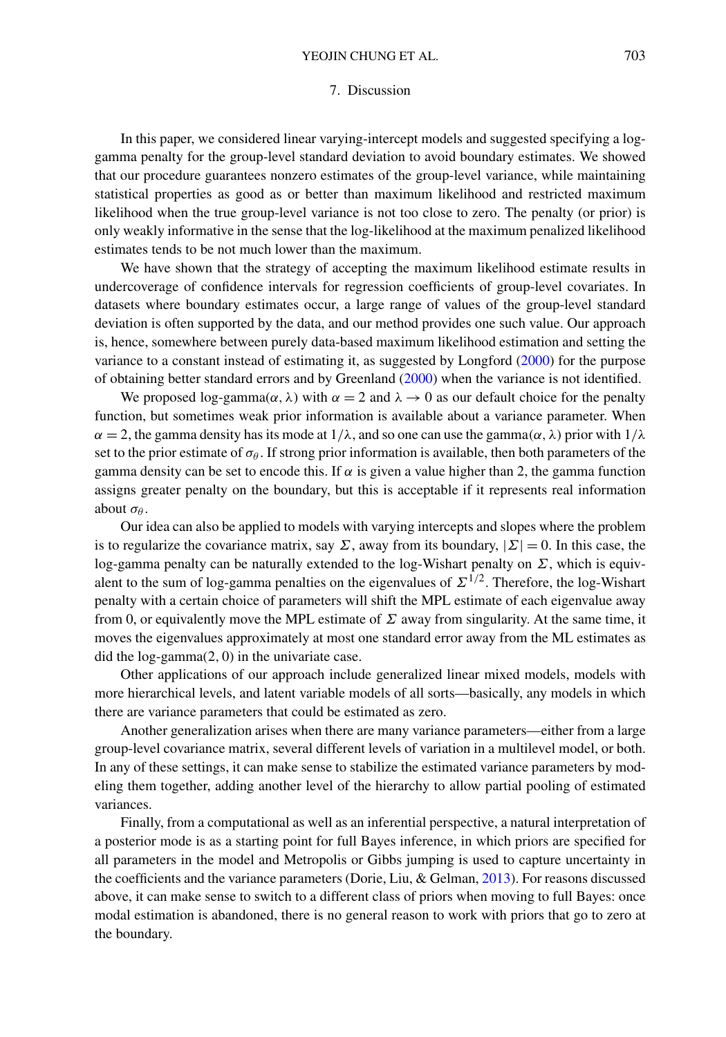### 7. Discussion

<span id="page-18-0"></span>In this paper, we considered linear varying-intercept models and suggested specifying a loggamma penalty for the group-level standard deviation to avoid boundary estimates. We showed that our procedure guarantees nonzero estimates of the group-level variance, while maintaining statistical properties as good as or better than maximum likelihood and restricted maximum likelihood when the true group-level variance is not too close to zero. The penalty (or prior) is only weakly informative in the sense that the log-likelihood at the maximum penalized likelihood estimates tends to be not much lower than the maximum.

We have shown that the strategy of accepting the maximum likelihood estimate results in undercoverage of confidence intervals for regression coefficients of group-level covariates. In datasets where boundary estimates occur, a large range of values of the group-level standard deviation is often supported by the data, and our method provides one such value. Our approach is, hence, somewhere between purely data-based maximum likelihood estimation and setting the variance to a constant instead of estimating it, as suggested by Longford ([2000\)](#page-23-22) for the purpose of obtaining better standard errors and by Greenland [\(2000](#page-23-34)) when the variance is not identified.

We proposed log-gamma( $\alpha$ ,  $\lambda$ ) with  $\alpha = 2$  and  $\lambda \rightarrow 0$  as our default choice for the penalty function, but sometimes weak prior information is available about a variance parameter. When  $\alpha = 2$ , the gamma density has its mode at  $1/\lambda$ , and so one can use the gamma $(\alpha, \lambda)$  prior with  $1/\lambda$ set to the prior estimate of  $\sigma_{\theta}$ . If strong prior information is available, then both parameters of the gamma density can be set to encode this. If  $\alpha$  is given a value higher than 2, the gamma function assigns greater penalty on the boundary, but this is acceptable if it represents real information about *σθ* .

Our idea can also be applied to models with varying intercepts and slopes where the problem is to regularize the covariance matrix, say  $\Sigma$ , away from its boundary,  $|\Sigma| = 0$ . In this case, the log-gamma penalty can be naturally extended to the log-Wishart penalty on *Σ*, which is equivalent to the sum of log-gamma penalties on the eigenvalues of  $\Sigma^{1/2}$ . Therefore, the log-Wishart penalty with a certain choice of parameters will shift the MPL estimate of each eigenvalue away from 0, or equivalently move the MPL estimate of *Σ* away from singularity. At the same time, it moves the eigenvalues approximately at most one standard error away from the ML estimates as did the log-gamma(2*,* 0) in the univariate case.

Other applications of our approach include generalized linear mixed models, models with more hierarchical levels, and latent variable models of all sorts—basically, any models in which there are variance parameters that could be estimated as zero.

Another generalization arises when there are many variance parameters—either from a large group-level covariance matrix, several different levels of variation in a multilevel model, or both. In any of these settings, it can make sense to stabilize the estimated variance parameters by modeling them together, adding another level of the hierarchy to allow partial pooling of estimated variances.

Finally, from a computational as well as an inferential perspective, a natural interpretation of a posterior mode is as a starting point for full Bayes inference, in which priors are specified for all parameters in the model and Metropolis or Gibbs jumping is used to capture uncertainty in the coefficients and the variance parameters (Dorie, Liu, & Gelman, [2013\)](#page-23-35). For reasons discussed above, it can make sense to switch to a different class of priors when moving to full Bayes: once modal estimation is abandoned, there is no general reason to work with priors that go to zero at the boundary.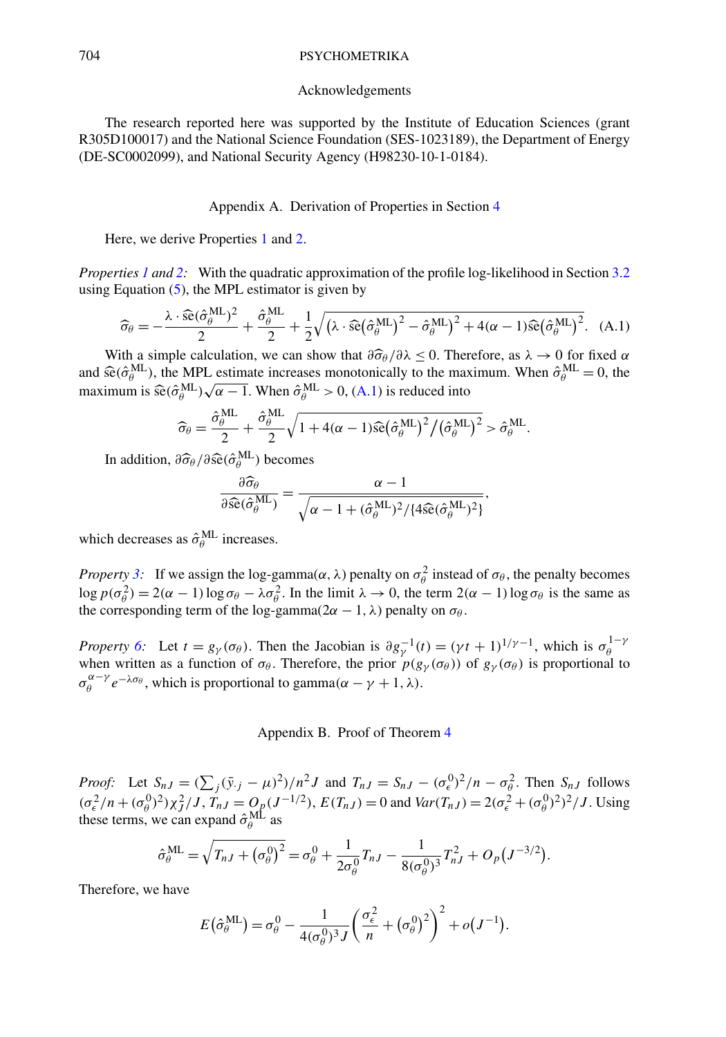#### Acknowledgements

<span id="page-19-2"></span><span id="page-19-0"></span>The research reported here was supported by the Institute of Education Sciences (grant R305D100017) and the National Science Foundation (SES-1023189), the Department of Energy (DE-SC0002099), and National Security Agency (H98230-10-1-0184).

### Appendix A. Derivation of Properties in Section [4](#page-7-0)

Here, we derive Properties [1](#page-8-1) and [2](#page-8-2).

*Properties [1](#page-8-1) and [2](#page-8-2):* With the quadratic approximation of the profile log-likelihood in Section [3.2](#page-5-3) using Equation  $(5)$  $(5)$ , the MPL estimator is given by

$$
\widehat{\sigma}_{\theta} = -\frac{\lambda \cdot \widehat{\text{se}}(\widehat{\sigma}_{\theta}^{\text{ML}})^2}{2} + \frac{\widehat{\sigma}_{\theta}^{\text{ML}}}{2} + \frac{1}{2} \sqrt{\left(\lambda \cdot \widehat{\text{se}}(\widehat{\sigma}_{\theta}^{\text{ML}})\right)^2 - \widehat{\sigma}_{\theta}^{\text{ML}}\right)^2 + 4(\alpha - 1)\widehat{\text{se}}(\widehat{\sigma}_{\theta}^{\text{ML}})^2}.
$$
 (A.1)

With a simple calculation, we can show that  $\frac{\partial \hat{\sigma}_{\theta}}{\partial \lambda} \leq 0$ . Therefore, as  $\lambda \to 0$  for fixed  $\alpha$ <br> $\hat{\sigma}_{\theta}^{\text{ML}}$  the MPL estimate increases monotonically to the maximum. When  $\hat{\sigma}_{\theta}^{\text{ML}} = 0$  the and  $\hat{\mathfrak{se}}(\hat{\sigma}_{\theta}^{\text{ML}})$ , the MPL estimate increases monotonically to the maximum. When  $\hat{\sigma}_{\theta}^{\text{ML}} = 0$ , the maximum is  $\hat{\mathfrak{se}}(\hat{\sigma}_{\theta}^{\text{ML}})$ ,  $(\alpha - 1)$  When  $\hat{\sigma}_{\theta}^{\text{ML}} > 0$ ,  $(\Delta 1)$  is reduced into  $\lim_{\delta \to 0} \frac{\text{Re}(\sigma_{\theta}^{\text{ML}})}{\text{Im}(\sigma_{\theta}^{\text{ML}})} \sqrt{\alpha - 1}$ . When  $\hat{\sigma}_{\theta}^{\text{ML}} > 0$ , ([A.1](#page-19-2)) is reduced into

$$
\widehat{\sigma}_{\theta} = \frac{\widehat{\sigma}_{\theta}^{\text{ML}}}{2} + \frac{\widehat{\sigma}_{\theta}^{\text{ML}}}{2} \sqrt{1 + 4(\alpha - 1)\widehat{\text{se}}(\widehat{\sigma}_{\theta}^{\text{ML}})^{2} / (\widehat{\sigma}_{\theta}^{\text{ML}})^{2}} > \widehat{\sigma}_{\theta}^{\text{ML}}.
$$

In addition,  $\partial \hat{\sigma}_{\theta} / \partial \hat{\text{se}}(\hat{\sigma}_{\theta}^{\text{ML}})$  becomes

$$
\frac{\partial \widehat{\sigma}_{\theta}}{\partial \widehat{\text{se}}(\widehat{\sigma}_{\theta}^{\text{ML}})} = \frac{\alpha - 1}{\sqrt{\alpha - 1 + (\widehat{\sigma}_{\theta}^{\text{ML}})^2 / \{4 \widehat{\text{se}}(\widehat{\sigma}_{\theta}^{\text{ML}})^2\}}},
$$

which decreases as  $\hat{\sigma}_{\theta}^{\text{ML}}$  increases.

*Property* [3](#page-9-1): If we assign the log-gamma $(\alpha, \lambda)$  penalty on  $\sigma_{\theta}^2$  instead of  $\sigma_{\theta}$ , the penalty becomes  $\log p(\sigma_{\theta}^2) = 2(\alpha - 1)\log \sigma_{\theta} - \lambda \sigma_{\theta}^2$ . In the limit  $\lambda \to 0$ , the term  $2(\alpha - 1)\log \sigma_{\theta}$  is the same as the corresponding term of the log-gamma( $2\alpha - 1$ ,  $\lambda$ ) penalty on  $\sigma_{\theta}$ .

<span id="page-19-1"></span>*Property [6](#page-10-2):* Let  $t = g_{\gamma}(\sigma_{\theta})$ . Then the Jacobian is  $\partial g_{\gamma}^{-1}(t) = (\gamma t + 1)^{1/\gamma - 1}$ , which is  $\sigma_{\theta}^{1-\gamma}$  when written as a function of  $\sigma_{\theta}$ . Therefore, the prior  $p(g_{\gamma}(\sigma_{\theta}))$  of  $g_{\gamma}(\sigma_{\theta})$  is proportional t  $\sigma_{\theta}^{\alpha-\gamma} e^{-\lambda \sigma_{\theta}}$ , which is proportional to gamma $(\alpha - \gamma + 1, \lambda)$ .

### Appendix B. Proof of Theorem [4](#page-9-0)

*Proof:* Let  $S_{nJ} = (\sum_j (\bar{y}_{\cdot j} - \mu)^2)/n^2 J$  and  $T_{nJ} = S_{nJ} - (\sigma_{\epsilon}^0)^2/n - \sigma_{\theta}^2$ . Then  $S_{nJ}$  follows  $(\sigma_{\epsilon}^2/n + (\sigma_{\theta}^0)^2)\chi_J^2/J$ ,  $T_{nJ} = O_p(J^{-1/2})$ ,  $E(T_{nJ}) = 0$  and  $Var(T_{nJ}) = 2(\sigma_{\epsilon}^2 + (\sigma_{\theta}^0)^2)^2/J$ . Using these terms, we can expand  $\hat{\sigma}_{\theta}^{\text{ML}}$  as

$$
\hat{\sigma}_{\theta}^{\text{ML}} = \sqrt{T_{nJ} + (\sigma_{\theta}^{0})^2} = \sigma_{\theta}^{0} + \frac{1}{2\sigma_{\theta}^{0}}T_{nJ} - \frac{1}{8(\sigma_{\theta}^{0})^3}T_{nJ}^{2} + O_{p}(J^{-3/2}).
$$

Therefore, we have

$$
E(\hat{\sigma}_{\theta}^{\mathrm{ML}}) = \sigma_{\theta}^{0} - \frac{1}{4(\sigma_{\theta}^{0})^{3} J} \left(\frac{\sigma_{\epsilon}^{2}}{n} + (\sigma_{\theta}^{0})^{2}\right)^{2} + o(J^{-1}).
$$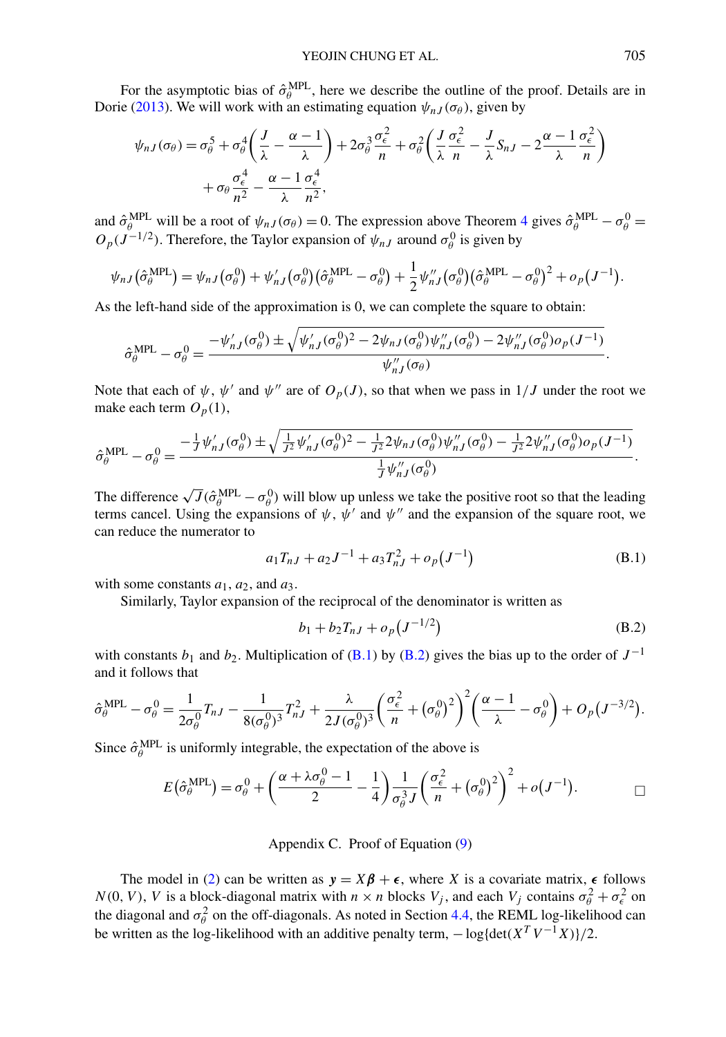For the asymptotic bias of  $\hat{\sigma}_{\theta}^{\text{MPL}}$ , here we describe the outline of the proof. Details are in Dorie [\(2013](#page-23-32)). We will work with an estimating equation  $\psi_{nJ}(\sigma_{\theta})$ , given by

$$
\psi_{nJ}(\sigma_{\theta}) = \sigma_{\theta}^{5} + \sigma_{\theta}^{4} \left( \frac{J}{\lambda} - \frac{\alpha - 1}{\lambda} \right) + 2\sigma_{\theta}^{3} \frac{\sigma_{\epsilon}^{2}}{n} + \sigma_{\theta}^{2} \left( \frac{J}{\lambda} \frac{\sigma_{\epsilon}^{2}}{n} - \frac{J}{\lambda} S_{nJ} - 2\frac{\alpha - 1}{\lambda} \frac{\sigma_{\epsilon}^{2}}{n} \right) + \sigma_{\theta} \frac{\sigma_{\epsilon}^{4}}{n^{2}} - \frac{\alpha - 1}{\lambda} \frac{\sigma_{\epsilon}^{4}}{n^{2}},
$$

and  $\hat{\sigma}_{\theta}^{\text{MPL}}$  will be a root of  $\psi_{nJ}(\sigma_{\theta}) = 0$ . The expression above Theorem [4](#page-9-0) gives  $\hat{\sigma}_{\theta}^{\text{MPL}} - \sigma_{\theta}^0 = 0$  $O_p(J^{-1/2})$ . Therefore, the Taylor expansion of  $\psi_{nJ}$  around  $\sigma_\theta^0$  is given by

$$
\psi_{nJ}(\hat{\sigma}_{\theta}^{\text{MPL}}) = \psi_{nJ}(\sigma_{\theta}^0) + \psi'_{nJ}(\sigma_{\theta}^0)(\hat{\sigma}_{\theta}^{\text{MPL}} - \sigma_{\theta}^0) + \frac{1}{2}\psi''_{nJ}(\sigma_{\theta}^0)(\hat{\sigma}_{\theta}^{\text{MPL}} - \sigma_{\theta}^0)^2 + o_p(J^{-1}).
$$

As the left-hand side of the approximation is 0, we can complete the square to obtain:

$$
\hat{\sigma}_{\theta}^{\text{MPL}} - \sigma_{\theta}^0 = \frac{-\psi'_{nJ}(\sigma_{\theta}^0) \pm \sqrt{\psi'_{nJ}(\sigma_{\theta}^0)^2 - 2\psi_{nJ}(\sigma_{\theta}^0)\psi''_{nJ}(\sigma_{\theta}^0) - 2\psi''_{nJ}(\sigma_{\theta}^0)o_p(J^{-1})}}{\psi''_{nJ}(\sigma_{\theta})}.
$$

Note that each of  $\psi$ ,  $\psi'$  and  $\psi''$  are of  $O_p(J)$ , so that when we pass in  $1/J$  under the root we make each term  $O_p(1)$ ,

<span id="page-20-1"></span>
$$
\hat{\sigma}_{\theta}^{\text{MPL}} - \sigma_{\theta}^{0} = \frac{-\frac{1}{J} \psi_{nJ}'(\sigma_{\theta}^{0}) \pm \sqrt{\frac{1}{J^{2}} \psi_{nJ}'(\sigma_{\theta}^{0})^{2} - \frac{1}{J^{2}} 2 \psi_{nJ}(\sigma_{\theta}^{0}) \psi_{nJ}''(\sigma_{\theta}^{0}) - \frac{1}{J^{2}} 2 \psi_{nJ}''(\sigma_{\theta}^{0}) \sigma_{p}(J^{-1})}{\frac{1}{J} \psi_{nJ}''(\sigma_{\theta}^{0})}.
$$

The difference  $\sqrt{J}(\hat{\sigma}_{\theta}^{MPL} - \sigma_{\theta}^0)$  will blow up unless we take the positive root so that the leading terms cancel. Using the expansions of  $\psi$ ,  $\psi'$  and  $\psi''$  and the expansion of the square root, we can reduce the numerator to

<span id="page-20-2"></span>
$$
a_1 T_{nJ} + a_2 J^{-1} + a_3 T_{nJ}^2 + o_p(J^{-1})
$$
 (B.1)

with some constants  $a_1$ ,  $a_2$ , and  $a_3$ .

Similarly, Taylor expansion of the reciprocal of the denominator is written as

$$
b_1 + b_2 T_{nJ} + o_p(J^{-1/2})
$$
 (B.2)

with constants *b*<sub>1</sub> and *b*<sub>2</sub>. Multiplication of ([B.1\)](#page-20-1) by ([B.2\)](#page-20-2) gives the bias up to the order of  $J^{-1}$ and it follows that

$$
\hat{\sigma}_{\theta}^{\text{MPL}} - \sigma_{\theta}^0 = \frac{1}{2\sigma_{\theta}^0} T_{nJ} - \frac{1}{8(\sigma_{\theta}^0)^3} T_{nJ}^2 + \frac{\lambda}{2J(\sigma_{\theta}^0)^3} \left(\frac{\sigma_{\epsilon}^2}{n} + (\sigma_{\theta}^0)^2\right)^2 \left(\frac{\alpha-1}{\lambda} - \sigma_{\theta}^0\right) + O_p\left(J^{-3/2}\right).
$$

<span id="page-20-0"></span>Since  $\hat{\sigma}_{\theta}^{\text{MPL}}$  is uniformly integrable, the expectation of the above is

$$
E(\hat{\sigma}_{\theta}^{\text{MPL}}) = \sigma_{\theta}^{0} + \left(\frac{\alpha + \lambda \sigma_{\theta}^{0} - 1}{2} - \frac{1}{4}\right) \frac{1}{\sigma_{\theta}^{3} J} \left(\frac{\sigma_{\epsilon}^{2}}{n} + (\sigma_{\theta}^{0})^{2}\right)^{2} + o(J^{-1}).
$$

Appendix C. Proof of Equation [\(9](#page-11-1))

The model in [\(2](#page-5-2)) can be written as  $y = X\beta + \epsilon$ , where *X* is a covariate matrix,  $\epsilon$  follows *N*(0*, V*), *V* is a block-diagonal matrix with  $n \times n$  blocks  $V_j$ , and each  $V_j$  contains  $\sigma_\theta^2 + \sigma_\epsilon^2$  on the diagonal and  $\sigma_{\theta}^2$  on the off-diagonals. As noted in Section [4.4,](#page-10-1) the REML log-likelihood can be written as the log-likelihood with an additive penalty term,  $-\log\{\det(X^T V^{-1} X)\}/2$ .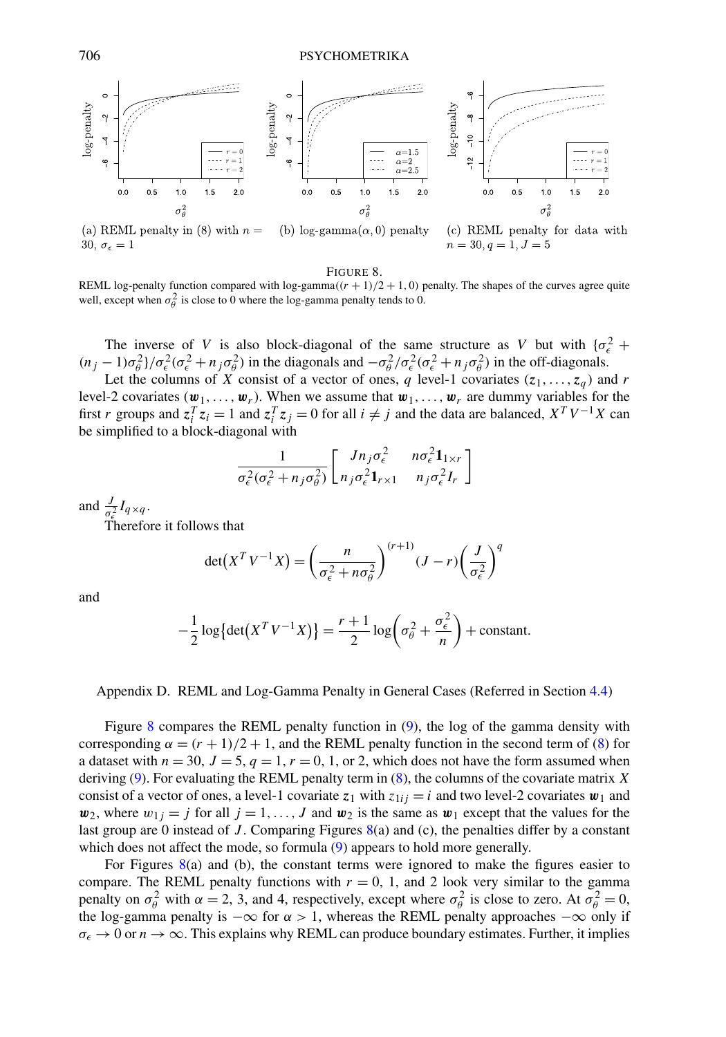

<span id="page-21-1"></span>(a) REML penalty in (8) with  $n =$ (b)  $log-gamma(\alpha,0)$  penalty (c) REML penalty for data with 30,  $\sigma_{\epsilon} = 1$  $n = 30, q = 1, J = 5$ 

#### FIGURE 8.

REML log-penalty function compared with log-gamma $((r + 1)/2 + 1, 0)$  penalty. The shapes of the curves agree quite well, except when  $\sigma_{\theta}^2$  is close to 0 where the log-gamma penalty tends to 0.

The inverse of *V* is also block-diagonal of the same structure as *V* but with  ${\{\sigma_{\epsilon}^2 + \sigma_{\epsilon}^2\}}$  $(n_j - 1)\sigma_\theta^2$  / $\sigma_\epsilon^2$  ( $\sigma_\epsilon^2 + n_j \sigma_\theta^2$ ) in the diagonals and  $-\sigma_\theta^2/\sigma_\epsilon^2$  ( $\sigma_\epsilon^2 + n_j \sigma_\theta^2$ ) in the off-diagonals.

Let the columns of *X* consist of a vector of ones, *q* level-1 covariates  $(z_1, \ldots, z_q)$  and *r* level-2 covariates  $(\mathbf{w}_1, \ldots, \mathbf{w}_r)$ . When we assume that  $\mathbf{w}_1, \ldots, \mathbf{w}_r$  are dummy variables for the first *r* groups and  $z_i^T z_i = 1$  and  $z_i^T z_j = 0$  for all  $i \neq j$  and the data are balanced,  $X^T V^{-1} X$  can be simplified to a block-diagonal with

$$
\frac{1}{\sigma_{\epsilon}^2(\sigma_{\epsilon}^2 + n_j \sigma_{\theta}^2)} \begin{bmatrix} Jn_j \sigma_{\epsilon}^2 & n \sigma_{\epsilon}^2 \mathbf{1}_{1 \times r} \\ n_j \sigma_{\epsilon}^2 \mathbf{1}_{r \times 1} & n_j \sigma_{\epsilon}^2 I_r \end{bmatrix}
$$

and  $\frac{J}{\sigma_{\epsilon}^2} I_{q \times q}$ .

 $\sigma_{\epsilon}^{\sigma_{\epsilon}+1}$ <sup>1</sup>

$$
\det(X^T V^{-1} X) = \left(\frac{n}{\sigma_{\epsilon}^2 + n\sigma_{\theta}^2}\right)^{(r+1)} (J - r) \left(\frac{J}{\sigma_{\epsilon}^2}\right)^q
$$

<span id="page-21-0"></span>and

$$
-\frac{1}{2}\log\{\det(X^T V^{-1}X)\} = \frac{r+1}{2}\log\left(\sigma_\theta^2 + \frac{\sigma_\epsilon^2}{n}\right) + \text{constant}.
$$

# Appendix D. REML and Log-Gamma Penalty in General Cases (Referred in Section [4.4\)](#page-10-1)

Figure [8](#page-21-1) compares the REML penalty function in [\(9](#page-11-2)), the log of the gamma density with corresponding  $\alpha = (r + 1)/2 + 1$ , and the REML penalty function in the second term of ([8\)](#page-10-0) for a dataset with  $n = 30$ ,  $J = 5$ ,  $q = 1$ ,  $r = 0$ , 1, or 2, which does not have the form assumed when deriving [\(9](#page-11-2)). For evaluating the REML penalty term in ([8\)](#page-10-0), the columns of the covariate matrix *X* consist of a vector of ones, a level-1 covariate  $z_1$  with  $z_{1ij} = i$  and two level-2 covariates  $w_1$  and  $w_2$ , where  $w_{1j} = j$  for all  $j = 1, ..., J$  and  $w_2$  is the same as  $w_1$  except that the values for the last group are 0 instead of *J* . Comparing Figures [8](#page-21-1)(a) and (c), the penalties differ by a constant which does not affect the mode, so formula [\(9\)](#page-11-2) appears to hold more generally.

For Figures [8](#page-21-1)(a) and (b), the constant terms were ignored to make the figures easier to compare. The REML penalty functions with  $r = 0$ , 1, and 2 look very similar to the gamma penalty on  $\sigma_{\theta}^2$  with  $\alpha = 2, 3$ , and 4, respectively, except where  $\sigma_{\theta}^2$  is close to zero. At  $\sigma_{\theta}^2 = 0$ , the log-gamma penalty is  $-\infty$  for  $\alpha > 1$ , whereas the REML penalty approaches  $-\infty$  only if  $\sigma_{\epsilon} \to 0$  or  $n \to \infty$ . This explains why REML can produce boundary estimates. Further, it implies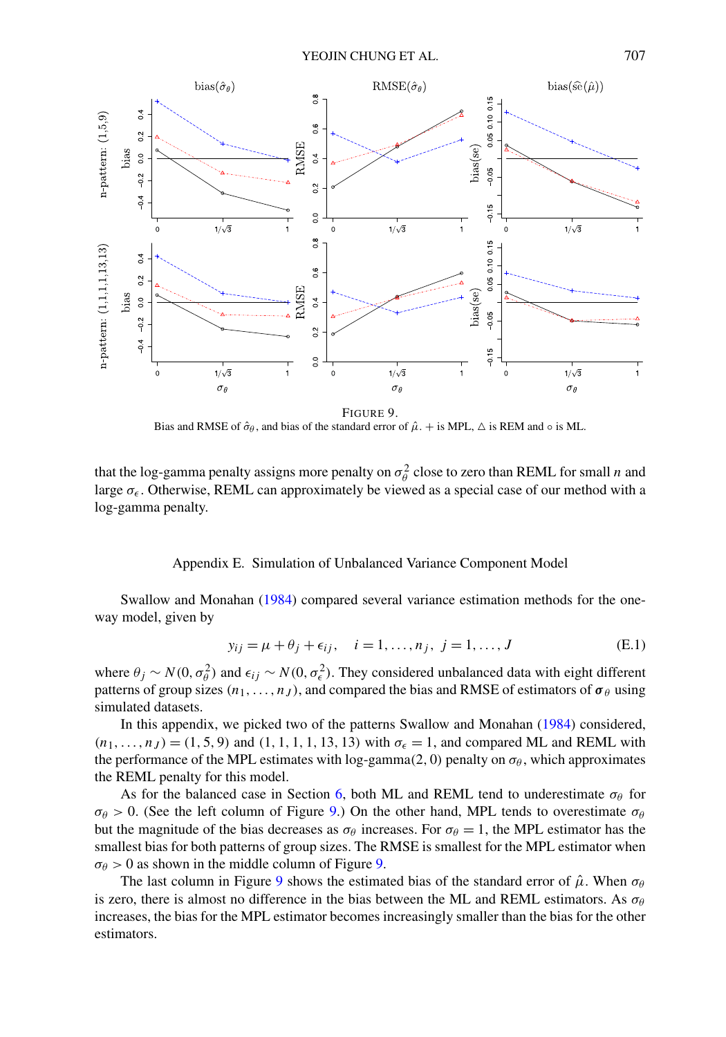

Bias and RMSE of  $\hat{\sigma}_{\theta}$ , and bias of the standard error of  $\hat{\mu}$ . + is MPL,  $\Delta$  is REM and  $\circ$  is ML.

<span id="page-22-1"></span><span id="page-22-0"></span>that the log-gamma penalty assigns more penalty on  $\sigma_{\theta}^2$  close to zero than REML for small *n* and large  $\sigma_{\epsilon}$ . Otherwise, REML can approximately be viewed as a special case of our method with a log-gamma penalty.

## Appendix E. Simulation of Unbalanced Variance Component Model

Swallow and Monahan ([1984\)](#page-24-23) compared several variance estimation methods for the oneway model, given by

$$
y_{ij} = \mu + \theta_j + \epsilon_{ij}, \quad i = 1, ..., n_j, \ j = 1, ..., J
$$
 (E.1)

where  $\theta_j \sim N(0, \sigma_\theta^2)$  and  $\epsilon_{ij} \sim N(0, \sigma_\epsilon^2)$ . They considered unbalanced data with eight different patterns of group sizes  $(n_1, \ldots, n_J)$ , and compared the bias and RMSE of estimators of  $\sigma_\theta$  using simulated datasets.

In this appendix, we picked two of the patterns Swallow and Monahan [\(1984](#page-24-23)) considered,  $(n_1, \ldots, n_J) = (1, 5, 9)$  and  $(1, 1, 1, 1, 1, 3, 13)$  with  $\sigma_{\epsilon} = 1$ , and compared ML and REML with the performance of the MPL estimates with  $log$ -gamma $(2, 0)$  penalty on  $\sigma_{\theta}$ , which approximates the REML penalty for this model.

As for the balanced case in Section [6,](#page-13-0) both ML and REML tend to underestimate  $\sigma_\theta$  for  $\sigma_{\theta} > 0$ . (See the left column of Figure [9.](#page-22-1)) On the other hand, MPL tends to overestimate  $\sigma_{\theta}$ but the magnitude of the bias decreases as  $\sigma_\theta$  increases. For  $\sigma_\theta = 1$ , the MPL estimator has the smallest bias for both patterns of group sizes. The RMSE is smallest for the MPL estimator when  $\sigma_{\theta} > 0$  as shown in the middle column of Figure [9.](#page-22-1)

The last column in Figure [9](#page-22-1) shows the estimated bias of the standard error of  $\hat{\mu}$ . When  $\sigma_{\theta}$ is zero, there is almost no difference in the bias between the ML and REML estimators. As  $\sigma_\theta$ increases, the bias for the MPL estimator becomes increasingly smaller than the bias for the other estimators.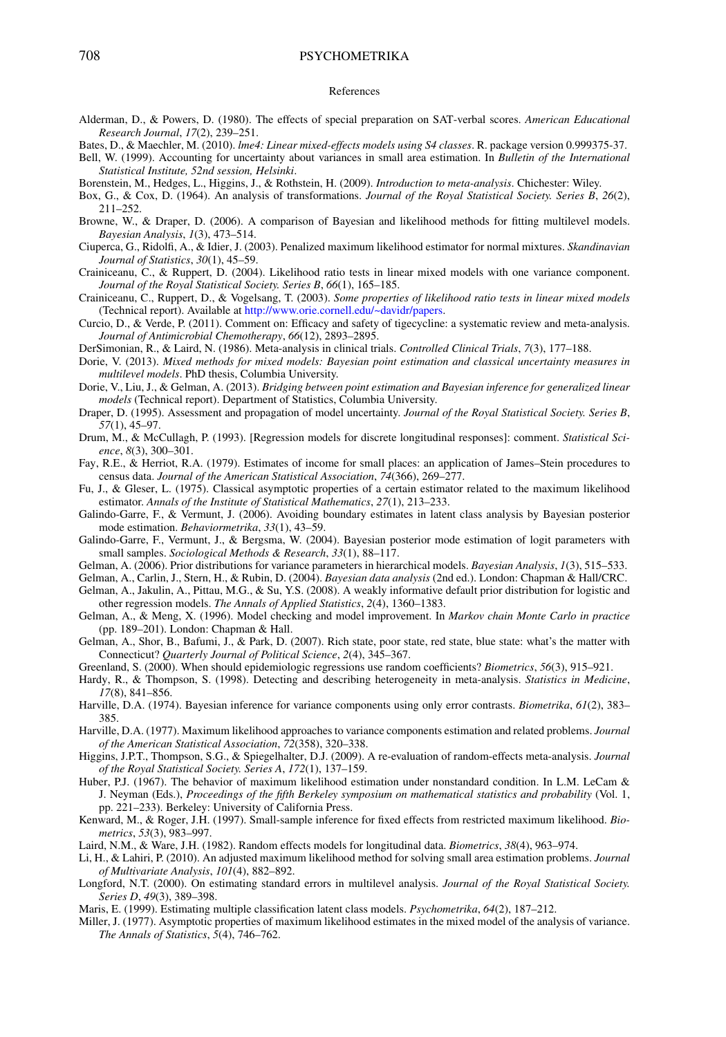#### References

- <span id="page-23-33"></span><span id="page-23-29"></span><span id="page-23-27"></span><span id="page-23-16"></span><span id="page-23-12"></span><span id="page-23-10"></span><span id="page-23-6"></span>Alderman, D., & Powers, D. (1980). The effects of special preparation on SAT-verbal scores. *American Educational Research Journal*, *17*(2), 239–251.
- <span id="page-23-26"></span>Bates, D., & Maechler, M. (2010). *lme4: Linear mixed-effects models using S4 classes*. R. package version 0.999375-37.
- <span id="page-23-25"></span>Bell, W. (1999). Accounting for uncertainty about variances in small area estimation. In *Bulletin of the International Statistical Institute, 52nd session, Helsinki*.
- <span id="page-23-13"></span>Borenstein, M., Hedges, L., Higgins, J., & Rothstein, H. (2009). *Introduction to meta-analysis*. Chichester: Wiley.
- Box, G., & Cox, D. (1964). An analysis of transformations. *Journal of the Royal Statistical Society. Series B*, *26*(2), 211–252.
- <span id="page-23-32"></span><span id="page-23-18"></span>Browne, W., & Draper, D. (2006). A comparison of Bayesian and likelihood methods for fitting multilevel models. *Bayesian Analysis*, *1*(3), 473–514.
- <span id="page-23-35"></span>Ciuperca, G., Ridolfi, A., & Idier, J. (2003). Penalized maximum likelihood estimator for normal mixtures. *Skandinavian Journal of Statistics*, *30*(1), 45–59.
- <span id="page-23-14"></span>Crainiceanu, C., & Ruppert, D. (2004). Likelihood ratio tests in linear mixed models with one variance component. *Journal of the Royal Statistical Society. Series B*, *66*(1), 165–185.
- <span id="page-23-24"></span>Crainiceanu, C., Ruppert, D., & Vogelsang, T. (2003). *Some properties of likelihood ratio tests in linear mixed models* (Technical report). Available at <http://www.orie.cornell.edu/~davidr/papers>.
- <span id="page-23-7"></span>Curcio, D., & Verde, P. (2011). Comment on: Efficacy and safety of tigecycline: a systematic review and meta-analysis. *Journal of Antimicrobial Chemotherapy*, *66*(12), 2893–2895.
- DerSimonian, R., & Laird, N. (1986). Meta-analysis in clinical trials. *Controlled Clinical Trials*, *7*(3), 177–188.
- <span id="page-23-31"></span>Dorie, V. (2013). *Mixed methods for mixed models: Bayesian point estimation and classical uncertainty measures in multilevel models*. PhD thesis, Columbia University.
- <span id="page-23-5"></span>Dorie, V., Liu, J., & Gelman, A. (2013). *Bridging between point estimation and Bayesian inference for generalized linear models* (Technical report). Department of Statistics, Columbia University.
- <span id="page-23-2"></span>Draper, D. (1995). Assessment and propagation of model uncertainty. *Journal of the Royal Statistical Society. Series B*, *57*(1), 45–97.
- <span id="page-23-28"></span><span id="page-23-17"></span>Drum, M., & McCullagh, P. (1993). [Regression models for discrete longitudinal responses]: comment. *Statistical Science*, *8*(3), 300–301.
- <span id="page-23-3"></span>Fay, R.E., & Herriot, R.A. (1979). Estimates of income for small places: an application of James–Stein procedures to census data. *Journal of the American Statistical Association*, *74*(366), 269–277.
- <span id="page-23-15"></span>Fu, J., & Gleser, L. (1975). Classical asymptotic properties of a certain estimator related to the maximum likelihood estimator. *Annals of the Institute of Statistical Mathematics*, *27*(1), 213–233.
- <span id="page-23-9"></span>Galindo-Garre, F., & Vermunt, J. (2006). Avoiding boundary estimates in latent class analysis by Bayesian posterior mode estimation. *Behaviormetrika*, *33*(1), 43–59.
- <span id="page-23-34"></span><span id="page-23-11"></span>Galindo-Garre, F., Vermunt, J., & Bergsma, W. (2004). Bayesian posterior mode estimation of logit parameters with small samples. *Sociological Methods & Research*, *33*(1), 88–117.
- Gelman, A. (2006). Prior distributions for variance parameters in hierarchical models. *Bayesian Analysis*, *1*(3), 515–533.
- <span id="page-23-20"></span>Gelman, A., Carlin, J., Stern, H., & Rubin, D. (2004). *Bayesian data analysis* (2nd ed.). London: Chapman & Hall/CRC.
- <span id="page-23-0"></span>Gelman, A., Jakulin, A., Pittau, M.G., & Su, Y.S. (2008). A weakly informative default prior distribution for logistic and other regression models. *The Annals of Applied Statistics*, *2*(4), 1360–1383.
- <span id="page-23-19"></span>Gelman, A., & Meng, X. (1996). Model checking and model improvement. In *Markov chain Monte Carlo in practice* (pp. 189–201). London: Chapman & Hall.
- <span id="page-23-23"></span>Gelman, A., Shor, B., Bafumi, J., & Park, D. (2007). Rich state, poor state, red state, blue state: what's the matter with Connecticut? *Quarterly Journal of Political Science*, *2*(4), 345–367.
- Greenland, S. (2000). When should epidemiologic regressions use random coefficients? *Biometrics*, *56*(3), 915–921.
- <span id="page-23-21"></span>Hardy, R., & Thompson, S. (1998). Detecting and describing heterogeneity in meta-analysis. *Statistics in Medicine*, *17*(8), 841–856.
- <span id="page-23-1"></span>Harville, D.A. (1974). Bayesian inference for variance components using only error contrasts. *Biometrika*, *61*(2), 383– 385.
- <span id="page-23-8"></span>Harville, D.A. (1977). Maximum likelihood approaches to variance components estimation and related problems. *Journal of the American Statistical Association*, *72*(358), 320–338.
- <span id="page-23-22"></span>Higgins, J.P.T., Thompson, S.G., & Spiegelhalter, D.J. (2009). A re-evaluation of random-effects meta-analysis. *Journal of the Royal Statistical Society. Series A*, *172*(1), 137–159.
- <span id="page-23-30"></span><span id="page-23-4"></span>Huber, P.J. (1967). The behavior of maximum likelihood estimation under nonstandard condition. In L.M. LeCam & J. Neyman (Eds.), *Proceedings of the fifth Berkeley symposium on mathematical statistics and probability* (Vol. 1, pp. 221–233). Berkeley: University of California Press.
- Kenward, M., & Roger, J.H. (1997). Small-sample inference for fixed effects from restricted maximum likelihood. *Biometrics*, *53*(3), 983–997.
- Laird, N.M., & Ware, J.H. (1982). Random effects models for longitudinal data. *Biometrics*, *38*(4), 963–974.
- Li, H., & Lahiri, P. (2010). An adjusted maximum likelihood method for solving small area estimation problems. *Journal of Multivariate Analysis*, *101*(4), 882–892.
- Longford, N.T. (2000). On estimating standard errors in multilevel analysis. *Journal of the Royal Statistical Society. Series D*, *49*(3), 389–398.
- Maris, E. (1999). Estimating multiple classification latent class models. *Psychometrika*, *64*(2), 187–212.
- Miller, J. (1977). Asymptotic properties of maximum likelihood estimates in the mixed model of the analysis of variance. *The Annals of Statistics*, *5*(4), 746–762.